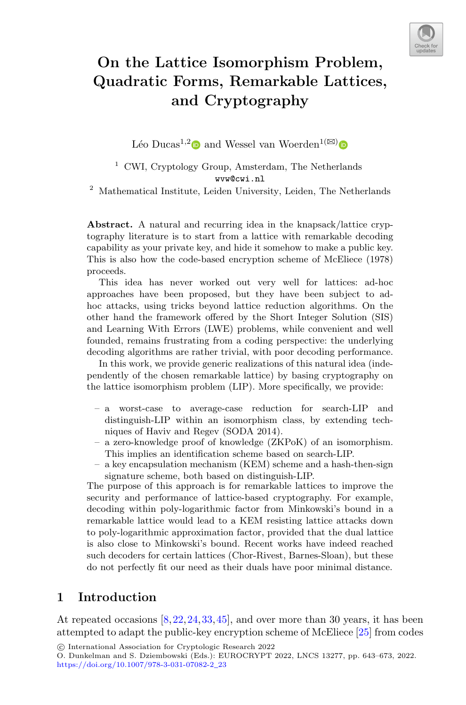

# **On the Lattice Isomorphism Problem, Quadratic Forms, Remarkable Lattices, and Cryptography**

Léo Ducas<sup>1,[2](http://orcid.org/0000-0003-2510-4829)</sup> and Wessel van Woerden<sup>1( $\boxtimes$ [\)](http://orcid.org/0000-0002-5565-4015)</sup>

 $^{\rm 1}$  CWI, Cryptology Group, Amsterdam, The Netherlands wvw@cwi.nl

 $2$  Mathematical Institute, Leiden University, Leiden, The Netherlands

**Abstract.** A natural and recurring idea in the knapsack/lattice cryptography literature is to start from a lattice with remarkable decoding capability as your private key, and hide it somehow to make a public key. This is also how the code-based encryption scheme of McEliece (1978) proceeds.

This idea has never worked out very well for lattices: ad-hoc approaches have been proposed, but they have been subject to adhoc attacks, using tricks beyond lattice reduction algorithms. On the other hand the framework offered by the Short Integer Solution (SIS) and Learning With Errors (LWE) problems, while convenient and well founded, remains frustrating from a coding perspective: the underlying decoding algorithms are rather trivial, with poor decoding performance.

In this work, we provide generic realizations of this natural idea (independently of the chosen remarkable lattice) by basing cryptography on the lattice isomorphism problem (LIP). More specifically, we provide:

- a worst-case to average-case reduction for search-LIP and distinguish-LIP within an isomorphism class, by extending techniques of Haviv and Regev (SODA 2014).
- a zero-knowledge proof of knowledge (ZKPoK) of an isomorphism. This implies an identification scheme based on search-LIP.
- a key encapsulation mechanism (KEM) scheme and a hash-then-sign signature scheme, both based on distinguish-LIP.

The purpose of this approach is for remarkable lattices to improve the security and performance of lattice-based cryptography. For example, decoding within poly-logarithmic factor from Minkowski's bound in a remarkable lattice would lead to a KEM resisting lattice attacks down to poly-logarithmic approximation factor, provided that the dual lattice is also close to Minkowski's bound. Recent works have indeed reached such decoders for certain lattices (Chor-Rivest, Barnes-Sloan), but these do not perfectly fit our need as their duals have poor minimal distance.

# **1 Introduction**

At repeated occasions [\[8](#page-28-0)[,22](#page-29-0),[24,](#page-29-1)[33](#page-29-2)[,45](#page-30-0)], and over more than 30 years, it has been attempted to adapt the public-key encryption scheme of McEliece [\[25](#page-29-3)] from codes

<sup>-</sup>c International Association for Cryptologic Research 2022

O. Dunkelman and S. Dziembowski (Eds.): EUROCRYPT 2022, LNCS 13277, pp. 643–673, 2022. [https://doi.org/10.1007/978-3-031-07082-2](https://doi.org/10.1007/978-3-031-07082-2_23)\_23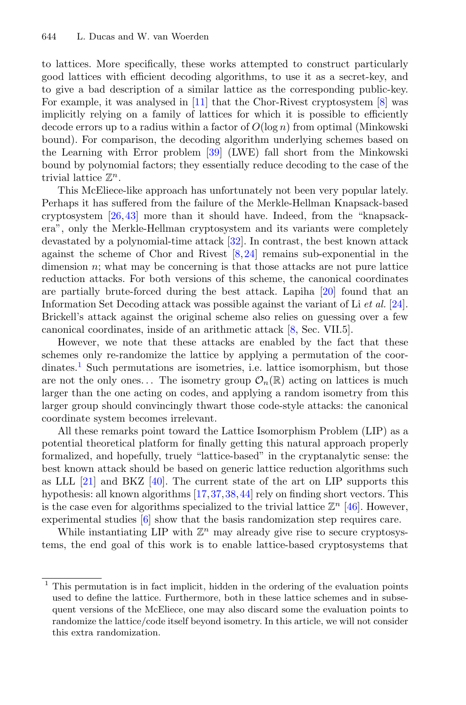to lattices. More specifically, these works attempted to construct particularly good lattices with efficient decoding algorithms, to use it as a secret-key, and to give a bad description of a similar lattice as the corresponding public-key. For example, it was analysed in [\[11\]](#page-28-1) that the Chor-Rivest cryptosystem [\[8](#page-28-0)] was implicitly relying on a family of lattices for which it is possible to efficiently decode errors up to a radius within a factor of  $O(\log n)$  from optimal (Minkowski bound). For comparison, the decoding algorithm underlying schemes based on the Learning with Error problem [\[39](#page-30-1)] (LWE) fall short from the Minkowski bound by polynomial factors; they essentially reduce decoding to the case of the trivial lattice  $\mathbb{Z}^n$ .

This McEliece-like approach has unfortunately not been very popular lately. Perhaps it has suffered from the failure of the Merkle-Hellman Knapsack-based cryptosystem [\[26](#page-29-4)[,43](#page-30-2)] more than it should have. Indeed, from the "knapsackera", only the Merkle-Hellman cryptosystem and its variants were completely devastated by a polynomial-time attack [\[32](#page-29-5)]. In contrast, the best known attack against the scheme of Chor and Rivest  $[8,24]$  $[8,24]$  $[8,24]$  remains sub-exponential in the dimension  $n$ ; what may be concerning is that those attacks are not pure lattice reduction attacks. For both versions of this scheme, the canonical coordinates are partially brute-forced during the best attack. Lapiha [\[20](#page-29-6)] found that an Information Set Decoding attack was possible against the variant of Li *et al.* [\[24\]](#page-29-1). Brickell's attack against the original scheme also relies on guessing over a few canonical coordinates, inside of an arithmetic attack [\[8,](#page-28-0) Sec. VII.5].

However, we note that these attacks are enabled by the fact that these schemes only re-randomize the lattice by applying a permutation of the coor-dinates.<sup>[1](#page-1-0)</sup> Such permutations are isometries, i.e. lattice isomorphism, but those are not the only ones... The isometry group  $\mathcal{O}_n(\mathbb{R})$  acting on lattices is much larger than the one acting on codes, and applying a random isometry from this larger group should convincingly thwart those code-style attacks: the canonical coordinate system becomes irrelevant.

All these remarks point toward the Lattice Isomorphism Problem (LIP) as a potential theoretical platform for finally getting this natural approach properly formalized, and hopefully, truely "lattice-based" in the cryptanalytic sense: the best known attack should be based on generic lattice reduction algorithms such as LLL  $[21]$  $[21]$  and BKZ  $[40]$  $[40]$ . The current state of the art on LIP supports this hypothesis: all known algorithms [\[17](#page-28-2),[37,](#page-29-8)[38,](#page-29-9)[44](#page-30-4)] rely on finding short vectors. This is the case even for algorithms specialized to the trivial lattice  $\mathbb{Z}^n$  [\[46](#page-30-5)]. However, experimental studies [\[6\]](#page-28-3) show that the basis randomization step requires care.

While instantiating LIP with  $\mathbb{Z}^n$  may already give rise to secure cryptosystems, the end goal of this work is to enable lattice-based cryptosystems that

<span id="page-1-0"></span><sup>&</sup>lt;sup>1</sup> This permutation is in fact implicit, hidden in the ordering of the evaluation points used to define the lattice. Furthermore, both in these lattice schemes and in subsequent versions of the McEliece, one may also discard some the evaluation points to randomize the lattice/code itself beyond isometry. In this article, we will not consider this extra randomization.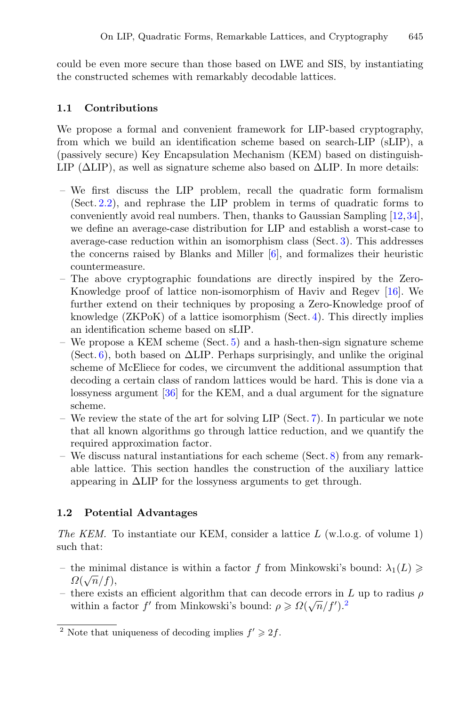could be even more secure than those based on LWE and SIS, by instantiating the constructed schemes with remarkably decodable lattices.

### **1.1 Contributions**

We propose a formal and convenient framework for LIP-based cryptography, from which we build an identification scheme based on search-LIP (sLIP), a (passively secure) Key Encapsulation Mechanism (KEM) based on distinguish-LIP ( $\Delta$ LIP), as well as signature scheme also based on  $\Delta$ LIP. In more details:

- We first discuss the LIP problem, recall the quadratic form formalism (Sect. [2.2\)](#page-4-0), and rephrase the LIP problem in terms of quadratic forms to conveniently avoid real numbers. Then, thanks to Gaussian Sampling [\[12](#page-28-4),[34\]](#page-29-10), we define an average-case distribution for LIP and establish a worst-case to average-case reduction within an isomorphism class (Sect. [3\)](#page-9-0). This addresses the concerns raised by Blanks and Miller [\[6\]](#page-28-3), and formalizes their heuristic countermeasure.
- The above cryptographic foundations are directly inspired by the Zero-Knowledge proof of lattice non-isomorphism of Haviv and Regev [\[16](#page-28-5)]. We further extend on their techniques by proposing a Zero-Knowledge proof of knowledge (ZKPoK) of a lattice isomorphism (Sect. [4\)](#page-14-0). This directly implies an identification scheme based on sLIP.
- We propose a KEM scheme (Sect. [5\)](#page-16-0) and a hash-then-sign signature scheme (Sect. [6\)](#page-19-0), both based on  $\Delta$ LIP. Perhaps surprisingly, and unlike the original scheme of McEliece for codes, we circumvent the additional assumption that decoding a certain class of random lattices would be hard. This is done via a lossyness argument [\[36\]](#page-29-11) for the KEM, and a dual argument for the signature scheme.
- We review the state of the art for solving LIP (Sect. [7\)](#page-22-0). In particular we note that all known algorithms go through lattice reduction, and we quantify the required approximation factor.
- We discuss natural instantiations for each scheme (Sect. [8\)](#page-25-0) from any remarkable lattice. This section handles the construction of the auxiliary lattice appearing in ΔLIP for the lossyness arguments to get through.

# **1.2 Potential Advantages**

*The KEM.* To instantiate our KEM, consider a lattice L (w.l.o.g. of volume 1) such that:

- the minimal distance is within a factor f from Minkowski's bound:  $\lambda_1(L) \geq$  $\Omega(\sqrt{n}/f),$
- there exists an efficient algorithm that can decode errors in L up to radius  $\rho$ within a factor f' from Minkowski's bound:  $\rho \ge \Omega(\sqrt{n}/f')$ .<sup>[2](#page-2-0)</sup>

<span id="page-2-0"></span><sup>&</sup>lt;sup>2</sup> Note that uniqueness of decoding implies  $f' \geq 2f$ .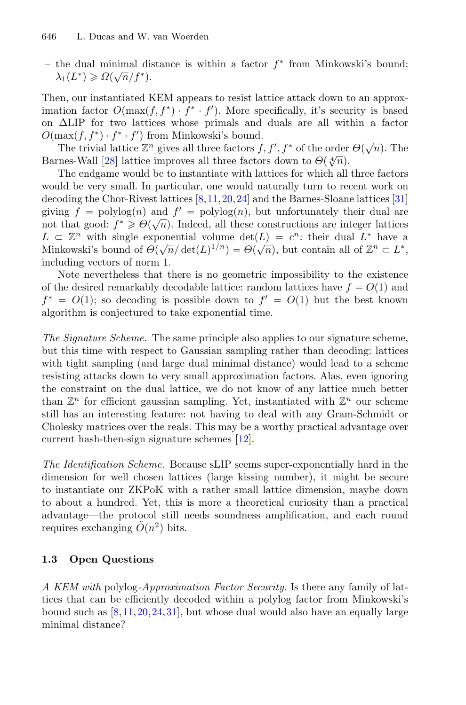– the dual minimal distance is within a factor  $f^*$  from Minkowski's bound:  $\lambda_1(L^*) \geqslant \Omega(\sqrt{n}/f^*)$ .

Then, our instantiated KEM appears to resist lattice attack down to an approximation factor  $O(\max(f, f^*) \cdot f^* \cdot f')$ . More specifically, it's security is based on ΔLIP for two lattices whose primals and duals are all within a factor  $O(\max(f, f^*) \cdot f^* \cdot f')$  from Minkowski's bound.

The trivial lattice  $\mathbb{Z}^n$  gives all three factors  $f, f', f^*$  of the order  $\Theta(\sqrt{n})$ . The Barnes-Wall [\[28\]](#page-29-12) lattice improves all three factors down to  $\Theta(\sqrt[4]{n})$ .

The endgame would be to instantiate with lattices for which all three factors would be very small. In particular, one would naturally turn to recent work on decoding the Chor-Rivest lattices [\[8,](#page-28-0)[11](#page-28-1)[,20](#page-29-6)[,24](#page-29-1)] and the Barnes-Sloane lattices [\[31](#page-29-13)] giving  $f = \text{polylog}(n)$  and  $f' = \text{polylog}(n)$ , but unfortunately their dual are not that good:  $f^* \geq \Theta(\sqrt{n})$ . Indeed, all these constructions are integer lattices  $L \subset \mathbb{Z}^n$  with single exponential volume  $\det(L) = c^n$ : their dual  $L^*$  have a Minkowski's bound of  $\Theta(\sqrt{n}/\det(L)^{1/n}) = \Theta(\sqrt{n})$ , but contain all of  $\mathbb{Z}^n \subset L^*$ , including vectors of norm 1.

Note nevertheless that there is no geometric impossibility to the existence of the desired remarkably decodable lattice: random lattices have  $f = O(1)$  and  $f^* = O(1)$ ; so decoding is possible down to  $f' = O(1)$  but the best known algorithm is conjectured to take exponential time.

*The Signature Scheme.* The same principle also applies to our signature scheme, but this time with respect to Gaussian sampling rather than decoding: lattices with tight sampling (and large dual minimal distance) would lead to a scheme resisting attacks down to very small approximation factors. Alas, even ignoring the constraint on the dual lattice, we do not know of any lattice much better than  $\mathbb{Z}^n$  for efficient gaussian sampling. Yet, instantiated with  $\mathbb{Z}^n$  our scheme still has an interesting feature: not having to deal with any Gram-Schmidt or Cholesky matrices over the reals. This may be a worthy practical advantage over current hash-then-sign signature schemes [\[12\]](#page-28-4).

*The Identification Scheme.* Because sLIP seems super-exponentially hard in the dimension for well chosen lattices (large kissing number), it might be secure to instantiate our ZKPoK with a rather small lattice dimension, maybe down to about a hundred. Yet, this is more a theoretical curiosity than a practical advantage—the protocol still needs soundness amplification, and each round requires exchanging  $O(n^2)$  bits.

### <span id="page-3-0"></span>**1.3 Open Questions**

*A KEM with* polylog*-Approximation Factor Security.* Is there any family of lattices that can be efficiently decoded within a polylog factor from Minkowski's bound such as  $[8,11,20,24,31]$  $[8,11,20,24,31]$  $[8,11,20,24,31]$  $[8,11,20,24,31]$  $[8,11,20,24,31]$  $[8,11,20,24,31]$  $[8,11,20,24,31]$ , but whose dual would also have an equally large minimal distance?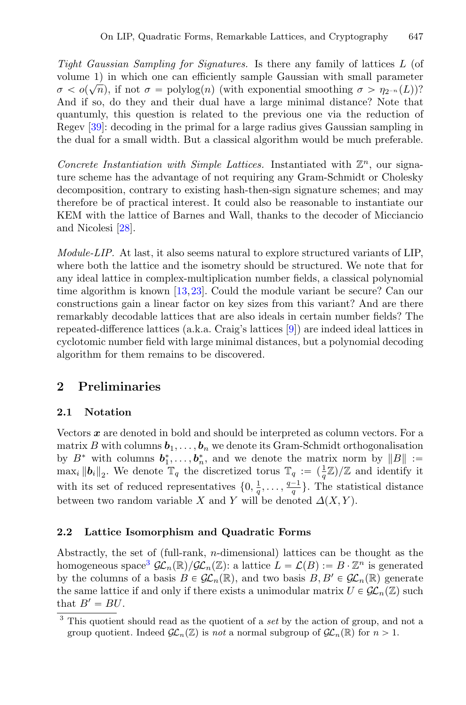*Tight Gaussian Sampling for Signatures.* Is there any family of lattices L (of volume 1) in which one can efficiently sample Gaussian with small parameter  $\sigma < o(\sqrt{n})$ , if not  $\sigma = \text{polylog}(n)$  (with exponential smoothing  $\sigma > \eta_{2^{-n}}(L)$ )? And if so, do they and their dual have a large minimal distance? Note that quantumly, this question is related to the previous one via the reduction of Regev [\[39\]](#page-30-1): decoding in the primal for a large radius gives Gaussian sampling in the dual for a small width. But a classical algorithm would be much preferable.

*Concrete Instantiation with Simple Lattices.* Instantiated with  $\mathbb{Z}^n$ , our signature scheme has the advantage of not requiring any Gram-Schmidt or Cholesky decomposition, contrary to existing hash-then-sign signature schemes; and may therefore be of practical interest. It could also be reasonable to instantiate our KEM with the lattice of Barnes and Wall, thanks to the decoder of Micciancio and Nicolesi [\[28\]](#page-29-12).

*Module-LIP.* At last, it also seems natural to explore structured variants of LIP, where both the lattice and the isometry should be structured. We note that for any ideal lattice in complex-multiplication number fields, a classical polynomial time algorithm is known [\[13,](#page-28-6)[23](#page-29-14)]. Could the module variant be secure? Can our constructions gain a linear factor on key sizes from this variant? And are there remarkably decodable lattices that are also ideals in certain number fields? The repeated-difference lattices (a.k.a. Craig's lattices [\[9](#page-28-7)]) are indeed ideal lattices in cyclotomic number field with large minimal distances, but a polynomial decoding algorithm for them remains to be discovered.

# **2 Preliminaries**

# **2.1 Notation**

Vectors *x* are denoted in bold and should be interpreted as column vectors. For a matrix B with columns  $b_1, \ldots, b_n$  we denote its Gram-Schmidt orthogonalisation by  $B^*$  with columns  $b_1^*, \ldots, b_n^*$ , and we denote the matrix norm by  $||B|| :=$  $\max_i \|b_i\|_2$ . We denote  $\mathbb{T}_q$  the discretized torus  $\mathbb{T}_q := (\frac{1}{q}\mathbb{Z})/\mathbb{Z}$  and identify it with its set of reduced representatives  $\{0, \frac{1}{q}, \ldots, \frac{q-1}{q}\}.$  The statistical distance between two random variable X and Y will be denoted  $\Delta(X, Y)$ .

### <span id="page-4-0"></span>**2.2 Lattice Isomorphism and Quadratic Forms**

Abstractly, the set of (full-rank, n-dimensional) lattices can be thought as the homogeneous space<sup>[3](#page-4-1)</sup>  $\mathcal{GL}_n(\mathbb{R})/\mathcal{GL}_n(\mathbb{Z})$ : a lattice  $L = \mathcal{L}(B) := B \cdot \mathbb{Z}^n$  is generated by the columns of a basis  $B \in \mathcal{GL}_n(\mathbb{R})$ , and two basis  $B, B' \in \mathcal{GL}_n(\mathbb{R})$  generate the same lattice if and only if there exists a unimodular matrix  $U \in \mathcal{GL}_n(\mathbb{Z})$  such that  $B' = BU$ .

<span id="page-4-1"></span><sup>3</sup> This quotient should read as the quotient of a *set* by the action of group, and not a group quotient. Indeed  $\mathcal{GL}_n(\mathbb{Z})$  is *not* a normal subgroup of  $\mathcal{GL}_n(\mathbb{R})$  for  $n > 1$ .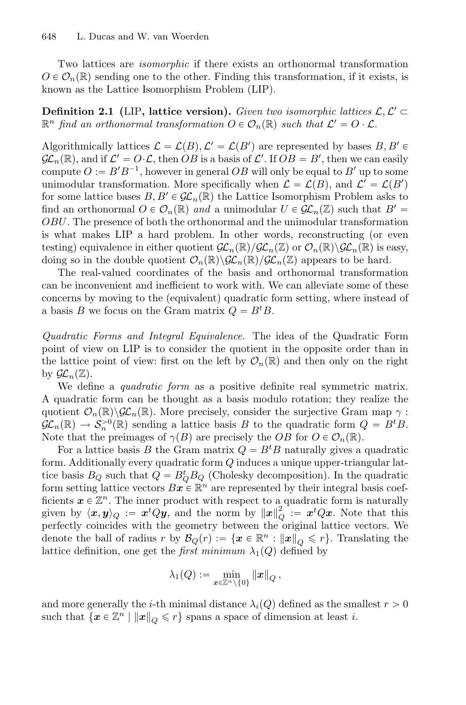Two lattices are *isomorphic* if there exists an orthonormal transformation  $O \in \mathcal{O}_n(\mathbb{R})$  sending one to the other. Finding this transformation, if it exists, is known as the Lattice Isomorphism Problem (LIP).

**Definition 2.1** (LIP, lattice version). *Given two isomorphic lattices*  $\mathcal{L}, \mathcal{L}' \subset$  $\mathbb{R}^n$  *find an orthonormal transformation*  $O \in \mathcal{O}_n(\mathbb{R})$  *such that*  $\mathcal{L}' = O \cdot \mathcal{L}$ *.* 

Algorithmically lattices  $\mathcal{L} = \mathcal{L}(B), \mathcal{L}' = \mathcal{L}(B')$  are represented by bases  $B, B' \in \mathcal{L}(\mathbb{R})$  $\mathcal{GL}_n(\mathbb{R})$ , and if  $\mathcal{L}' = O \cdot \mathcal{L}$ , then OB is a basis of  $\mathcal{L}'$ . If  $OB = B'$ , then we can easily compute  $O := B'B^{-1}$ , however in general  $OB$  will only be equal to B' up to some unimodular transformation. More specifically when  $\mathcal{L} = \mathcal{L}(B)$ , and  $\mathcal{L}' = \mathcal{L}(B')$ for some lattice bases  $B, B' \in \mathcal{GL}_n(\mathbb{R})$  the Lattice Isomorphism Problem asks to find an orthonormal  $O \in \mathcal{O}_n(\mathbb{R})$  *and* a unimodular  $U \in \mathcal{GL}_n(\mathbb{Z})$  such that  $B' =$ OBU. The presence of both the orthonormal and the unimodular transformation is what makes LIP a hard problem. In other words, reconstructing (or even testing) equivalence in either quotient  $\mathcal{GL}_n(\mathbb{R})/\mathcal{GL}_n(\mathbb{Z})$  or  $\mathcal{O}_n(\mathbb{R})\backslash\mathcal{GL}_n(\mathbb{R})$  is easy, doing so in the double quotient  $\mathcal{O}_n(\mathbb{R})\backslash\mathcal{GL}_n(\mathbb{R})/\mathcal{GL}_n(\mathbb{Z})$  appears to be hard.

The real-valued coordinates of the basis and orthonormal transformation can be inconvenient and inefficient to work with. We can alleviate some of these concerns by moving to the (equivalent) quadratic form setting, where instead of a basis B we focus on the Gram matrix  $Q = B<sup>t</sup>B$ .

*Quadratic Forms and Integral Equivalence.* The idea of the Quadratic Form point of view on LIP is to consider the quotient in the opposite order than in the lattice point of view: first on the left by  $\mathcal{O}_n(\mathbb{R})$  and then only on the right by  $\mathcal{GL}_n(\mathbb{Z})$ .

We define a *quadratic form* as a positive definite real symmetric matrix. A quadratic form can be thought as a basis modulo rotation; they realize the quotient  $\mathcal{O}_n(\mathbb{R})\backslash\mathcal{GL}_n(\mathbb{R})$ . More precisely, consider the surjective Gram map  $\gamma$ :  $\mathcal{GL}_n(\mathbb{R}) \to \mathcal{S}_n^{>0}(\mathbb{R})$  sending a lattice basis B to the quadratic form  $Q = B^t B$ . Note that the preimages of  $\gamma(B)$  are precisely the OB for  $O \in \mathcal{O}_n(\mathbb{R})$ .

For a lattice basis B the Gram matrix  $Q = B<sup>t</sup>B$  naturally gives a quadratic form. Additionally every quadratic form  $Q$  induces a unique upper-triangular lattice basis  $B_Q$  such that  $Q = B_Q^t B_Q$  (Cholesky decomposition). In the quadratic form setting lattice vectors  $Bx \in \mathbb{R}^n$  are represented by their integral basis coefficients  $x \in \mathbb{Z}^n$ . The inner product with respect to a quadratic form is naturally given by  $\langle x, y \rangle_Q := x^t Q y$ , and the norm by  $||x||_Q^2 := x^t Q x$ . Note that this perfectly coincides with the geometry between the original lattice vectors. We denote the ball of radius r by  $\mathcal{B}_Q(r) := \{x \in \mathbb{R}^n : ||x||_Q \leq r\}$ . Translating the lattice definition, one get the *first minimum*  $\lambda_1(Q)$  defined by

$$
\lambda_1(Q):=\min_{\pmb{x}\in\mathbb{Z}^n\backslash\{0\}}\|\pmb{x}\|_Q\,,
$$

and more generally the *i*-th minimal distance  $\lambda_i(Q)$  defined as the smallest  $r > 0$ such that  $\{x \in \mathbb{Z}^n \mid ||x||_Q \leq r\}$  spans a space of dimension at least i.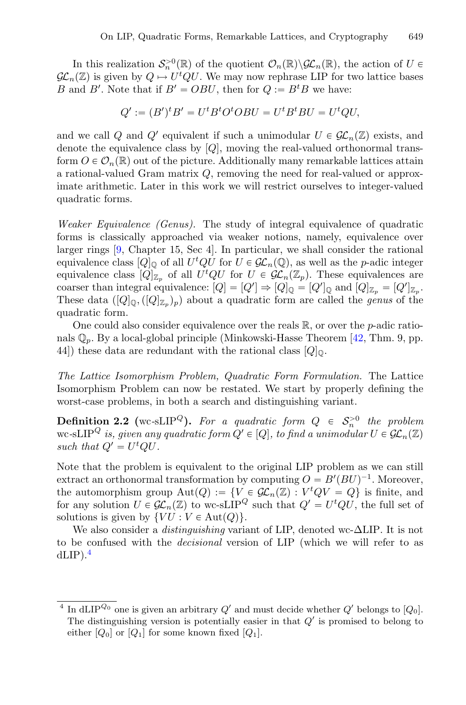In this realization  $\mathcal{S}_n^{>0}(\mathbb{R})$  of the quotient  $\mathcal{O}_n(\mathbb{R})\backslash\mathcal{GL}_n(\mathbb{R})$ , the action of  $U \in$  $\mathcal{GL}_n(\mathbb{Z})$  is given by  $Q \mapsto U^t Q U$ . We may now rephrase LIP for two lattice bases B and B'. Note that if  $B' = OBU$ , then for  $Q := B^tB$  we have:

$$
Q' := (B')^t B' = U^t B^t O^t O B U = U^t B^t B U = U^t Q U,
$$

and we call Q and Q' equivalent if such a unimodular  $U \in \mathcal{GL}_n(\mathbb{Z})$  exists, and denote the equivalence class by [Q], moving the real-valued orthonormal transform  $O \in \mathcal{O}_n(\mathbb{R})$  out of the picture. Additionally many remarkable lattices attain a rational-valued Gram matrix Q, removing the need for real-valued or approximate arithmetic. Later in this work we will restrict ourselves to integer-valued quadratic forms.

*Weaker Equivalence (Genus).* The study of integral equivalence of quadratic forms is classically approached via weaker notions, namely, equivalence over larger rings [\[9,](#page-28-7) Chapter 15, Sec 4]. In particular, we shall consider the rational equivalence class  $[Q]_Q$  of all  $U^t Q U$  for  $U \in \mathcal{GL}_n(\mathbb{Q})$ , as well as the *p*-adic integer equivalence class  $[Q]_{\mathbb{Z}_p}$  of all  $U^tQU$  for  $U \in \mathcal{GL}_n(\mathbb{Z}_p)$ . These equivalences are coarser than integral equivalence:  $[Q] = [Q'] \Rightarrow [Q]_{\mathbb{Q}} = [Q']_{\mathbb{Q}}$  and  $[Q]_{\mathbb{Z}_p} = [Q']_{\mathbb{Z}_p}$ . These data  $([Q]_{\mathbb{Q}},([Q]_{\mathbb{Z}_n})_p)$  about a quadratic form are called the *genus* of the quadratic form.

One could also consider equivalence over the reals  $\mathbb{R}$ , or over the *p*-adic rationals  $\mathbb{Q}_p$ . By a local-global principle (Minkowski-Hasse Theorem [\[42,](#page-30-6) Thm. 9, pp. 44) these data are redundant with the rational class  $[Q]_0$ .

*The Lattice Isomorphism Problem, Quadratic Form Formulation.* The Lattice Isomorphism Problem can now be restated. We start by properly defining the worst-case problems, in both a search and distinguishing variant.

**Definition 2.2** (wc-sLIP<sup>Q</sup>). For a quadratic form  $Q \in S_n^{>0}$  the problem wc-sLIP<sup>Q</sup> is, given any quadratic form  $Q' \in [Q]$ , to find a unimodular  $U \in \mathcal{GL}_n(\mathbb{Z})$ such that  $Q' = U^t Q U$ .

Note that the problem is equivalent to the original LIP problem as we can still extract an orthonormal transformation by computing  $O = B'(BU)^{-1}$ . Moreover, the automorphism group  $Aut(Q) := \{ V \in \mathcal{GL}_n(\mathbb{Z}) : V^t Q V = Q \}$  is finite, and for any solution  $U \in \mathcal{GL}_n(\mathbb{Z})$  to wc-sLIP<sup>Q</sup> such that  $Q' = U^tQU$ , the full set of solutions is given by  $\{VU : V \in \text{Aut}(Q)\}.$ 

We also consider a *distinguishing* variant of LIP, denoted wc-ΔLIP. It is not to be confused with the *decisional* version of LIP (which we will refer to as  $dLIP$ ).<sup>[4](#page-6-0)</sup>

<span id="page-6-0"></span><sup>&</sup>lt;sup>4</sup> In dLIP<sup>Q<sub>0</sub></sup> one is given an arbitrary  $Q'$  and must decide whether  $Q'$  belongs to  $[Q_0]$ . The distinguishing version is potentially easier in that  $Q'$  is promised to belong to either  $[Q_0]$  or  $[Q_1]$  for some known fixed  $[Q_1]$ .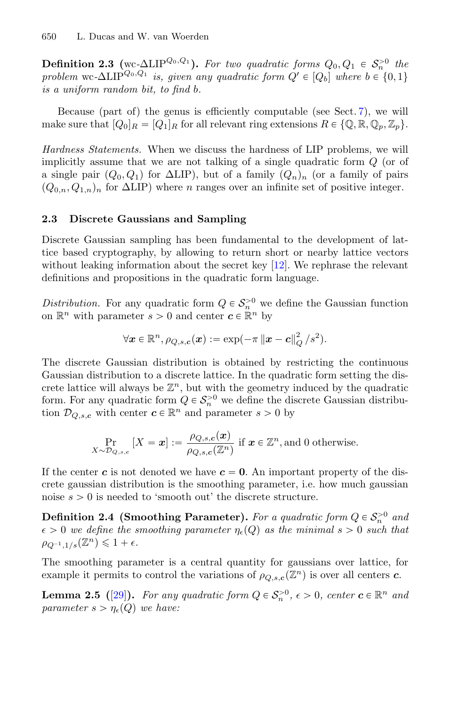**Definition 2.3** (wc- $\Delta$ LIP<sup>Q<sub>0</sub>,Q<sub>1</sub>). *For two quadratic forms*  $Q_0, Q_1 \in S_n^{>0}$  *the*</sup> *problem* wc- $\Delta$ LIP<sup>Q<sub>0</sub>,Q<sub>1</sub> *is, given any quadratic form*  $Q' \in [Q_b]$  *where*  $b \in \{0,1\}$ </sup> *is a uniform random bit, to find* b*.*

Because (part of) the genus is efficiently computable (see Sect. [7\)](#page-22-0), we will make sure that  $[Q_0]_R = [Q_1]_R$  for all relevant ring extensions  $R \in \{Q, \mathbb{R}, Q_p, \mathbb{Z}_p\}.$ 

*Hardness Statements.* When we discuss the hardness of LIP problems, we will implicitly assume that we are not talking of a single quadratic form Q (or of a single pair  $(Q_0, Q_1)$  for  $\Delta LIP$ ), but of a family  $(Q_n)_n$  (or a family of pairs  $(Q_{0,n}, Q_{1,n})_n$  for  $\Delta LIP$ ) where *n* ranges over an infinite set of positive integer.

#### **2.3 Discrete Gaussians and Sampling**

Discrete Gaussian sampling has been fundamental to the development of lattice based cryptography, by allowing to return short or nearby lattice vectors without leaking information about the secret key [\[12](#page-28-4)]. We rephrase the relevant definitions and propositions in the quadratic form language.

*Distribution.* For any quadratic form  $Q \in S_n^{>0}$  we define the Gaussian function on  $\mathbb{R}^n$  with parameter  $s > 0$  and center  $c \in \mathbb{R}^n$  by

$$
\forall \boldsymbol{x} \in \mathbb{R}^n, \rho_{Q,s,\boldsymbol{c}}(\boldsymbol{x}) := \exp(-\pi \left\|\boldsymbol{x} - \boldsymbol{c}\right\|_Q^2/s^2).
$$

The discrete Gaussian distribution is obtained by restricting the continuous Gaussian distribution to a discrete lattice. In the quadratic form setting the discrete lattice will always be  $\mathbb{Z}^n$ , but with the geometry induced by the quadratic form. For any quadratic form  $Q \in S_n^{>0}$  we define the discrete Gaussian distribution  $\mathcal{D}_{Q,s,c}$  with center  $c \in \mathbb{R}^n$  and parameter  $s > 0$  by

<span id="page-7-0"></span>
$$
\Pr_{X \sim \mathcal{D}_{Q,s,c}} \left[ X = \boldsymbol{x} \right] := \frac{\rho_{Q,s,c}(\boldsymbol{x})}{\rho_{Q,s,c}(\mathbb{Z}^n)} \text{ if } \boldsymbol{x} \in \mathbb{Z}^n \text{, and } 0 \text{ otherwise.}
$$

If the center c is not denoted we have  $c = 0$ . An important property of the discrete gaussian distribution is the smoothing parameter, i.e. how much gaussian noise  $s > 0$  is needed to 'smooth out' the discrete structure.

**Definition 2.4 (Smoothing Parameter).** For a quadratic form  $Q \in S_n^{>0}$  and  $\epsilon > 0$  we define the smoothing parameter  $\eta_{\epsilon}(Q)$  as the minimal  $s > 0$  such that  $\rho_{Q^{-1},1/s}(\mathbb{Z}^n) \leq 1 + \epsilon.$ 

The smoothing parameter is a central quantity for gaussians over lattice, for example it permits to control the variations of  $\rho_{Q,s,c}(\mathbb{Z}^n)$  is over all centers *c*.

**Lemma 2.5** ([\[29\]](#page-29-15)). For any quadratic form  $Q \in S_n^{>0}$ ,  $\epsilon > 0$ , center  $c \in \mathbb{R}^n$  and *parameter*  $s > \eta_{\epsilon}(Q)$  *we have:*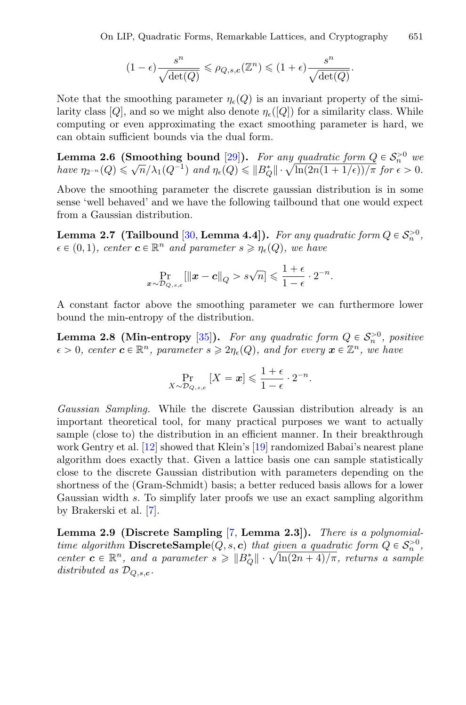<span id="page-8-3"></span>
$$
(1-\epsilon)\frac{s^n}{\sqrt{\det(Q)}} \leqslant \rho_{Q,s,c}(\mathbb{Z}^n) \leqslant (1+\epsilon)\frac{s^n}{\sqrt{\det(Q)}}.
$$

Note that the smoothing parameter  $\eta_{\epsilon}(Q)$  is an invariant property of the similarity class  $[Q]$ , and so we might also denote  $\eta_{\epsilon}([Q])$  for a similarity class. While computing or even approximating the exact smoothing parameter is hard, we can obtain sufficient bounds via the dual form.

**Lemma 2.6 (Smoothing bound** [\[29](#page-29-15)]). *For any quadratic form*  $Q \in S_n^{>0}$  we *have*  $\eta_{2^{-n}}(Q) \leq \sqrt{n}/\lambda_1(Q^{-1})$  *and*  $\eta_{\epsilon}(Q) \leq ||B_Q^*|| \cdot \sqrt{\ln(2n(1+1/\epsilon))/\pi}$  *for*  $\epsilon > 0$ *.* 

Above the smoothing parameter the discrete gaussian distribution is in some sense 'well behaved' and we have the following tailbound that one would expect from a Gaussian distribution.

**Lemma 2.7** (Tailbound [\[30](#page-29-16), **Lemma 4.4**]). *For any quadratic form*  $Q \in S_n^{>0}$ ,  $\epsilon \in (0, 1)$ *, center*  $\boldsymbol{c} \in \mathbb{R}^n$  *and parameter*  $s \geq \eta_{\epsilon}(Q)$ *, we have* 

<span id="page-8-1"></span>
$$
\Pr_{\boldsymbol{x}\sim\mathcal{D}_{Q,s,c}}[\|\boldsymbol{x}-\boldsymbol{c}\|_Q>s\sqrt{n}]\leqslant\frac{1+\epsilon}{1-\epsilon}\cdot 2^{-n}.
$$

A constant factor above the smoothing parameter we can furthermore lower bound the min-entropy of the distribution.

**Lemma 2.8 (Min-entropy** [\[35\]](#page-29-17)). For any quadratic form  $Q \in S_n^{>0}$ , positive  $\epsilon > 0$ , center  $c \in \mathbb{R}^n$ , parameter  $s \geq 2\eta_{\epsilon}(Q)$ , and for every  $x \in \mathbb{Z}^n$ , we have

<span id="page-8-2"></span>
$$
\Pr_{X \sim \mathcal{D}_{Q,s,c}} [X = x] \leqslant \frac{1+\epsilon}{1-\epsilon} \cdot 2^{-n}.
$$

*Gaussian Sampling.* While the discrete Gaussian distribution already is an important theoretical tool, for many practical purposes we want to actually sample (close to) the distribution in an efficient manner. In their breakthrough work Gentry et al. [\[12](#page-28-4)] showed that Klein's [\[19](#page-29-18)] randomized Babai's nearest plane algorithm does exactly that. Given a lattice basis one can sample statistically close to the discrete Gaussian distribution with parameters depending on the shortness of the (Gram-Schmidt) basis; a better reduced basis allows for a lower Gaussian width s. To simplify later proofs we use an exact sampling algorithm by Brakerski et al. [\[7](#page-28-8)].

<span id="page-8-0"></span>**Lemma 2.9 (Discrete Sampling** [\[7](#page-28-8), **Lemma 2.3]).** *There is a polynomialtime algorithm* **DiscreteSample** $(Q, s, c)$  *that given a quadratic form*  $Q \in S_n^{>0}$ , *center*  $\boldsymbol{c} \in \mathbb{R}^n$ , and a parameter  $s \geq \|B_Q^*\| \cdot \sqrt{\ln(2n+4)/\pi}$ , returns a sample *distributed as*  $\mathcal{D}_{Q,s,c}$ .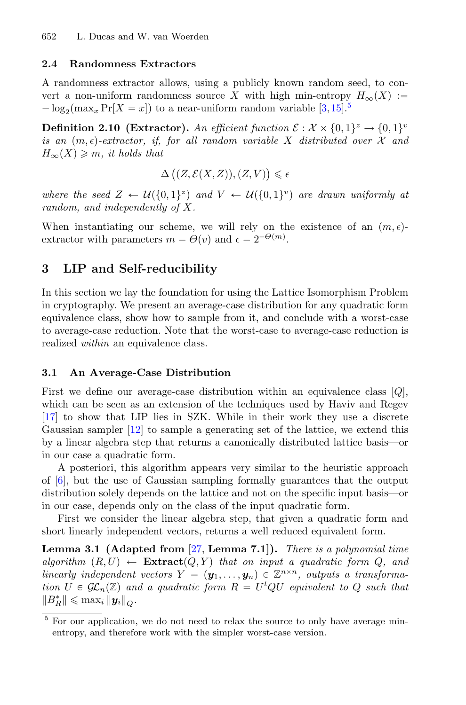#### **2.4 Randomness Extractors**

A randomness extractor allows, using a publicly known random seed, to convert a non-uniform randomness source X with high min-entropy  $H_{\infty}(X) :=$  $-\log_2(\max_x \Pr[X = x])$  to a near-uniform random variable [\[3](#page-28-9)[,15](#page-28-10)].<sup>[5](#page-9-1)</sup>

**Definition 2.10 (Extractor).** An efficient function  $\mathcal{E}: \mathcal{X} \times \{0,1\}^z \to \{0,1\}^v$ *is an*  $(m, \epsilon)$ -extractor, if, for all random variable X distributed over X and  $H_{\infty}(X) \geqslant m$ , it holds that

$$
\Delta\big((Z,\mathcal{E}(X,Z)),(Z,V)\big)\leq \epsilon
$$

*where the seed*  $Z \leftarrow \mathcal{U}(\{0,1\}^z)$  *and*  $V \leftarrow \mathcal{U}(\{0,1\}^v)$  *are drawn uniformly at random, and independently of* X*.*

When instantiating our scheme, we will rely on the existence of an  $(m, \epsilon)$ extractor with parameters  $m = \Theta(v)$  and  $\epsilon = 2^{-\Theta(m)}$ .

# <span id="page-9-0"></span>**3 LIP and Self-reducibility**

In this section we lay the foundation for using the Lattice Isomorphism Problem in cryptography. We present an average-case distribution for any quadratic form equivalence class, show how to sample from it, and conclude with a worst-case to average-case reduction. Note that the worst-case to average-case reduction is realized *within* an equivalence class.

#### **3.1 An Average-Case Distribution**

First we define our average-case distribution within an equivalence class  $[Q]$ , which can be seen as an extension of the techniques used by Haviv and Regev [\[17](#page-28-2)] to show that LIP lies in SZK. While in their work they use a discrete Gaussian sampler [\[12\]](#page-28-4) to sample a generating set of the lattice, we extend this by a linear algebra step that returns a canonically distributed lattice basis—or in our case a quadratic form.

A posteriori, this algorithm appears very similar to the heuristic approach of [\[6](#page-28-3)], but the use of Gaussian sampling formally guarantees that the output distribution solely depends on the lattice and not on the specific input basis—or in our case, depends only on the class of the input quadratic form.

<span id="page-9-2"></span>First we consider the linear algebra step, that given a quadratic form and short linearly independent vectors, returns a well reduced equivalent form.

**Lemma 3.1 (Adapted from** [\[27](#page-29-19), **Lemma 7.1]).** *There is a polynomial time*  $algorithm (R, U) \leftarrow$  **Extract** $(Q, Y)$  *that on input a quadratic form Q, and linearly independent vectors*  $Y = (\mathbf{y}_1, \ldots, \mathbf{y}_n) \in \mathbb{Z}^{n \times n}$ , outputs a transforma*tion*  $U \in GL_n(\mathbb{Z})$  and a quadratic form  $R = U^tQU$  equivalent to Q such that  $||B_R^*|| \leq \max_i ||y_i||_Q.$ 

<span id="page-9-1"></span><sup>5</sup> For our application, we do not need to relax the source to only have average minentropy, and therefore work with the simpler worst-case version.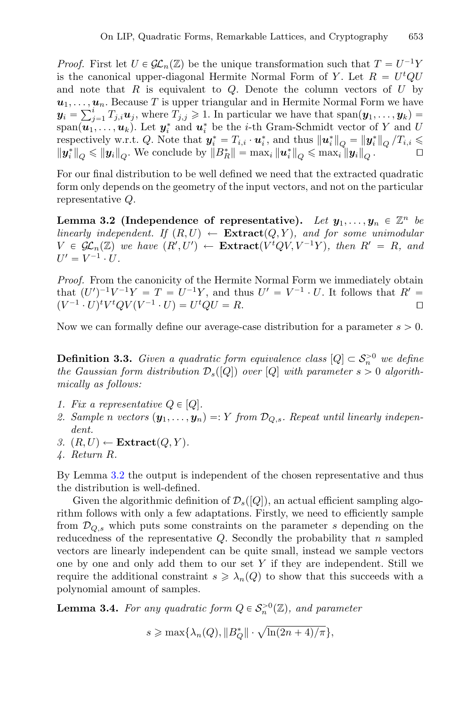*Proof.* First let  $U \in \mathcal{GL}_n(\mathbb{Z})$  be the unique transformation such that  $T = U^{-1}Y$ is the canonical upper-diagonal Hermite Normal Form of Y. Let  $R = U^t Q U$ and note that R is equivalent to Q. Denote the column vectors of  $U$  by  $u_1, \ldots, u_n$ . Because T is upper triangular and in Hermite Normal Form we have  $y_i = \sum_{j=1}^i T_{j,i} u_j$ , where  $T_{j,j} \geq 1$ . In particular we have that  $\text{span}(y_1,\ldots,y_k) =$ span $(\boldsymbol{u}_1,\ldots,\boldsymbol{u}_k)$ . Let  $\boldsymbol{y}_i^*$  and  $\boldsymbol{u}_i^*$  be the *i*-th Gram-Schmidt vector of Y and U respectively w.r.t. Q. Note that  $y_i^* = T_{i,i} \cdot u_i^*$ , and thus  $||u_i^*||_Q = ||y_i^*||_Q / T_{i,i} \le$  $\|\boldsymbol{y}_i^*\|_Q \le \|\boldsymbol{y}_i\|_Q$ . We conclude by  $\|B_R^*\| = \max_i \|\boldsymbol{u}_i^*\|_Q \le \max_i \|\boldsymbol{y}_i\|_Q$ .

For our final distribution to be well defined we need that the extracted quadratic form only depends on the geometry of the input vectors, and not on the particular representative Q.

<span id="page-10-0"></span>**Lemma 3.2** (Independence of representative). Let  $y_1, \ldots, y_n \in \mathbb{Z}^n$  be *linearly independent.* If  $(R, U) \leftarrow$  **Extract** $(Q, Y)$ *, and for some unimodular*  $V \in \mathcal{GL}_n(\mathbb{Z})$  we have  $(R', U') \leftarrow \textbf{Extract}(V^tQV, V^{-1}Y)$ , then  $R' = R$ , and  $U' = V^{-1} \cdot U$ .

*Proof.* From the canonicity of the Hermite Normal Form we immediately obtain that  $(U')^{-1}V^{-1}Y = T = U^{-1}Y$ , and thus  $U' = V^{-1} \cdot U$ . It follows that  $R' =$  $(V^{-1} \cdot U)^t V^t Q V (V^{-1} \cdot U) = U^t Q U = R.$ 

<span id="page-10-1"></span>Now we can formally define our average-case distribution for a parameter  $s > 0$ .

**Definition 3.3.** *Given a quadratic form equivalence class*  $[Q] \subset S_n^{>0}$  *we define the Gaussian form distribution*  $\mathcal{D}_s([Q])$  *over* [Q] *with parameter*  $s > 0$  *algorithmically as follows:*

- *1. Fix a representative*  $Q \in [Q]$ *.*
- 2. Sample n *vectors*  $(\mathbf{y}_1, \ldots, \mathbf{y}_n) =: Y$  from  $\mathcal{D}_{Q,s}$ . Repeat until linearly indepen*dent.*
- *3.*  $(R, U) \leftarrow$  **Extract** $(Q, Y)$ *.*
- *4. Return* R*.*

By Lemma [3.2](#page-10-0) the output is independent of the chosen representative and thus the distribution is well-defined.

Given the algorithmic definition of  $\mathcal{D}_s([Q])$ , an actual efficient sampling algorithm follows with only a few adaptations. Firstly, we need to efficiently sample from  $\mathcal{D}_{Q,s}$  which puts some constraints on the parameter s depending on the reducedness of the representative  $Q$ . Secondly the probability that n sampled vectors are linearly independent can be quite small, instead we sample vectors one by one and only add them to our set  $Y$  if they are independent. Still we require the additional constraint  $s \geq \lambda_n(Q)$  to show that this succeeds with a polynomial amount of samples.

**Lemma 3.4.** *For any quadratic form*  $Q \in S_n^{>0}(\mathbb{Z})$ *, and parameter* 

<span id="page-10-2"></span>
$$
s \geqslant \max\{\lambda_n(Q), \|B_Q^*\| \cdot \sqrt{\ln(2n+4)/\pi}\},\
$$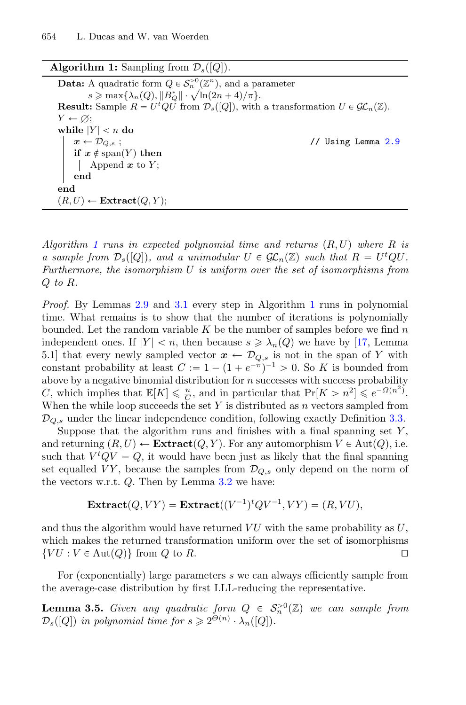<span id="page-11-0"></span>

| <b>Algorithm 1:</b> Sampling from $\mathcal{D}_s([Q])$ .                                                                 |  |
|--------------------------------------------------------------------------------------------------------------------------|--|
| <b>Data:</b> A quadratic form $Q \in S_n^{>0}(\mathbb{Z}^n)$ , and a parameter                                           |  |
| $s \geqslant \max\{\lambda_n(Q),\ B_O^*\  \cdot \sqrt{\ln(2n+4)/\pi}\}.$                                                 |  |
| <b>Result:</b> Sample $R = U^tQU$ from $\mathcal{D}_s([Q])$ , with a transformation $U \in \mathcal{GL}_n(\mathbb{Z})$ . |  |
| $Y \leftarrow \emptyset$                                                                                                 |  |
| while $ Y  < n$ do                                                                                                       |  |
| $x \leftarrow \mathcal{D}_{Q,s}$ ;<br>// Using Lemma 2.9                                                                 |  |
| if $x \notin \text{span}(Y)$ then                                                                                        |  |
| Append $x$ to $Y$ ;                                                                                                      |  |
| end                                                                                                                      |  |
| end                                                                                                                      |  |
| $(R, U) \leftarrow$ Extract $(Q, Y)$ ;                                                                                   |  |
|                                                                                                                          |  |

*Algorithm [1](#page-11-0) runs in expected polynomial time and returns* (R, U) *where* R *is a sample from*  $\mathcal{D}_s([Q])$ *, and a unimodular*  $U \in \mathcal{GL}_n(\mathbb{Z})$  *such that*  $R = U^t Q U$ . *Furthermore, the isomorphism* U *is uniform over the set of isomorphisms from* Q *to* R*.*

*Proof.* By Lemmas [2.9](#page-8-0) and [3.1](#page-9-2) every step in Algorithm [1](#page-11-0) runs in polynomial time. What remains is to show that the number of iterations is polynomially bounded. Let the random variable  $K$  be the number of samples before we find  $n$ independent ones. If  $|Y| < n$ , then because  $s \geq \lambda_n(Q)$  we have by [\[17,](#page-28-2) Lemma 5.1] that every newly sampled vector  $x \leftarrow \mathcal{D}_{Q,s}$  is not in the span of Y with constant probability at least  $C := 1 - (1 + e^{-\pi})^{-1} > 0$ . So K is bounded from above by a negative binomial distribution for  $n$  successes with success probability C, which implies that  $\mathbb{E}[K] \leq \frac{n}{C}$ , and in particular that  $\Pr[K > n^2] \leq e^{-\Omega(n^2)}$ . When the while loop succeeds the set Y is distributed as  $n$  vectors sampled from  $\mathcal{D}_{Q,s}$  under the linear independence condition, following exactly Definition [3.3.](#page-10-1)

Suppose that the algorithm runs and finishes with a final spanning set  $Y$ , and returning  $(R, U) \leftarrow$  **Extract** $(Q, Y)$ . For any automorphism  $V \in Aut(Q)$ , i.e. such that  $V^t Q V = Q$ , it would have been just as likely that the final spanning set equalled VY, because the samples from  $\mathcal{D}_{Q,s}$  only depend on the norm of the vectors w.r.t.  $Q$ . Then by Lemma  $3.2$  we have:

<span id="page-11-1"></span>
$$
\text{Extract}(Q,VY)=\text{Extract}((V^{-1})^tQV^{-1},VY)=(R,VU),
$$

and thus the algorithm would have returned  $VU$  with the same probability as  $U$ . which makes the returned transformation uniform over the set of isomorphisms  $\{VU : V \in \text{Aut}(Q)\}\$ from Q to R.

For (exponentially) large parameters s we can always efficiently sample from the average-case distribution by first LLL-reducing the representative.

**Lemma 3.5.** *Given any quadratic form*  $Q \in S_n^{>0}(\mathbb{Z})$  *we can sample from*  $\mathcal{D}_s([Q])$  *in polynomial time for*  $s \geq 2^{\Theta(n)} \cdot \lambda_n([Q]).$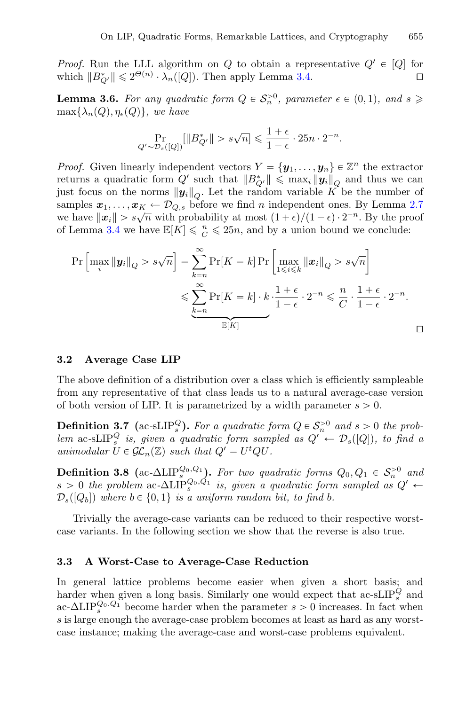*Proof.* Run the LLL algorithm on Q to obtain a representative  $Q' \in [Q]$  for which  $||B_{\alpha}^*|| \leq 2^{\Theta(n)} \cdot \lambda_{\alpha}([Q])$ . Then apply Lemma 3.4. which  $||B_{Q'}^*|| \leq 2^{\Theta(n)} \cdot \lambda_n([Q])$ . Then apply Lemma [3.4.](#page-10-2)

<span id="page-12-1"></span>**Lemma 3.6.** For any quadratic form  $Q \in S_n^{>0}$ , parameter  $\epsilon \in (0,1)$ , and  $s \geq 0$  $\max\{\lambda_n(Q), \eta_{\epsilon}(Q)\}\text{, we have}$ 

$$
\Pr_{Q' \sim \mathcal{D}_s([Q])}[\|B_{Q'}^*\| > s\sqrt{n}] \leqslant \frac{1+\epsilon}{1-\epsilon} \cdot 25n \cdot 2^{-n}.
$$

*Proof.* Given linearly independent vectors  $Y = {\bf y}_1, \ldots, {\bf y}_n \in \mathbb{Z}^n$  the extractor returns a quadratic form  $Q'$  such that  $||B_{Q'}^*|| \leq \max_i ||y_i||_Q$  and thus we can just focus on the norms  $\|\mathbf{y}_i\|_O$ . Let the random variable K be the number of samples  $x_1, \ldots, x_K \leftarrow \mathcal{D}_{Q,s}$  before we find *n* independent ones. By Lemma [2.7](#page-8-1) we have  $\|\mathbf{x}_i\| > s\sqrt{n}$  with probability at most  $(1 + \epsilon)/(1 - \epsilon) \cdot 2^{-n}$ . By the proof of Lemma [3.4](#page-10-2) we have  $\mathbb{E}[K] \leq \frac{n}{C} \leq 25n$ , and by a union bound we conclude:

$$
\Pr\left[\max_{i} \|\mathbf{y}_{i}\|_{Q} > s\sqrt{n}\right] = \sum_{k=n}^{\infty} \Pr[K=k] \Pr\left[\max_{1 \leq i \leq k} \|\mathbf{x}_{i}\|_{Q} > s\sqrt{n}\right]
$$

$$
\leqslant \sum_{k=n}^{\infty} \Pr[K=k] \cdot k \cdot \frac{1+\epsilon}{1-\epsilon} \cdot 2^{-n} \leqslant \frac{n}{C} \cdot \frac{1+\epsilon}{1-\epsilon} \cdot 2^{-n}.
$$

#### **3.2 Average Case LIP**

The above definition of a distribution over a class which is efficiently sampleable from any representative of that class leads us to a natural average-case version of both version of LIP. It is parametrized by a width parameter  $s > 0$ .

**Definition 3.7** (ac-sLIP<sub>s</sub><sup>Q</sup>). For a quadratic form  $Q \in S_n^{>0}$  and  $s > 0$  the prob*lem* ac-sLIP<sub>s</sub> *is, given a quadratic form sampled as*  $Q' \leftarrow \mathcal{D}_s([Q])$ *, to find a unimodular*  $\bar{U} \in \mathcal{GL}_n(\mathbb{Z})$  *such that*  $Q' = U^t Q U$ .

**Definition 3.8** (ac- $\Delta$ LIP<sup>Q<sub>0</sub>,Q<sub>1</sub>)</sub>. *For two quadratic forms*  $Q_0, Q_1 \in S_n^{>0}$  and</sup>  $s > 0$  the problem ac- $\Delta LIP_s^{Q_0,Q_1}$  is, given a quadratic form sampled as  $Q' \leftarrow$  $\mathcal{D}_s([Q_b])$  where  $b \in \{0, 1\}$  *is a uniform random bit, to find b.* 

Trivially the average-case variants can be reduced to their respective worstcase variants. In the following section we show that the reverse is also true.

#### **3.3 A Worst-Case to Average-Case Reduction**

<span id="page-12-0"></span>In general lattice problems become easier when given a short basis; and harder when given a long basis. Similarly one would expect that ac-sLIP<sub>s</sub><sup>Q</sup> and ac- $\Delta LIP_s^{Q_0,Q_1}$  become harder when the parameter  $s > 0$  increases. In fact when s is large enough the average-case problem becomes at least as hard as any worstcase instance; making the average-case and worst-case problems equivalent.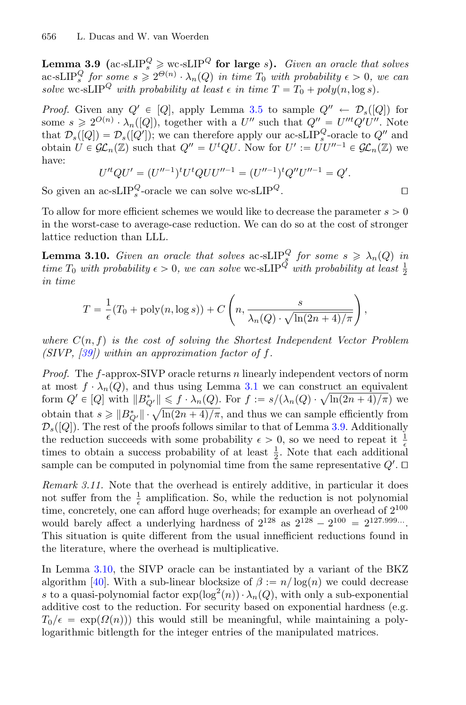**Lemma 3.9** (ac-sLIP<sup>Q</sup>  $\geq$  wc-sLIP<sup>Q</sup> for large s). *Given an oracle that solves*  $\text{arc-sLIP}_{s}^{Q}$  *for some*  $s \geq 2^{\Theta(n)} \cdot \lambda_n(Q)$  *in time*  $T_0$  *with probability*  $\epsilon > 0$ *, we can solve* wc-sLIP<sup>Q</sup> *with probability at least*  $\epsilon$  *in time*  $T = T_0 + poly(n, \log s)$ *.* 

*Proof.* Given any  $Q' \in [Q]$ , apply Lemma [3.5](#page-11-1) to sample  $Q'' \leftarrow \mathcal{D}_s([Q])$  for some  $s \geqslant 2^{O(n)} \cdot \lambda_n([Q])$ , together with a U'' such that  $Q'' = U''^t Q' U''$ . Note that  $\mathcal{D}_s([Q]) = \mathcal{D}_s([Q'])$ ; we can therefore apply our ac-sLIP<sup>Q</sup>-oracle to  $Q''$  and obtain  $U \in \mathcal{GL}_n(\mathbb{Z})$  such that  $Q'' = U^tQU$ . Now for  $U' := UU''^{-1} \in \mathcal{GL}_n(\mathbb{Z})$  we have:

<span id="page-13-0"></span>
$$
U'^tQU' = (U''^{-1})^t U^t QUU''^{-1} = (U''^{-1})^t Q'' U''^{-1} = Q'.
$$

So given an ac-sLIP<sup>Q</sup>-oracle we can solve wc-sLIP<sup>Q</sup>.

To allow for more efficient schemes we would like to decrease the parameter  $s > 0$ in the worst-case to average-case reduction. We can do so at the cost of stronger lattice reduction than LLL.

**Lemma 3.10.** *Given an oracle that solves* ac-sLIP<sub>8</sub> *for some*  $s \geq \lambda_n(Q)$  *in time*  $T_0$  *with probability*  $\epsilon > 0$ , we can solve wc-sLIP<sup>Q</sup> *with probability* at least  $\frac{1}{2}$ *in time*

$$
T = \frac{1}{\epsilon}(T_0 + \text{poly}(n, \log s)) + C\left(n, \frac{s}{\lambda_n(Q) \cdot \sqrt{\ln(2n+4)/\pi}}\right)
$$

*where*  $C(n, f)$  *is the cost of solving the Shortest Independent Vector Problem (SIVP, [\[39\]](#page-30-1)) within an approximation factor of* f*.*

*Proof.* The f-approx-SIVP oracle returns n linearly independent vectors of norm at most  $f \cdot \lambda_n(Q)$ , and thus using Lemma [3.1](#page-9-2) we can construct an equivalent form  $Q' \in [Q]$  with  $||B^*_{Q'}|| \leq f \cdot \lambda_n(Q)$ . For  $f := s/(\lambda_n(Q) \cdot \sqrt{\ln(2n+4)/\pi})$  we obtain that  $s \geq \|B_{Q'}^*\| \cdot \sqrt{\ln(2n+4)/\pi}$ , and thus we can sample efficiently from  $\mathcal{D}_s([Q])$ . The rest of the proofs follows similar to that of Lemma [3.9.](#page-12-0) Additionally the reduction succeeds with some probability  $\epsilon > 0$ , so we need to repeat it  $\frac{1}{\epsilon}$ times to obtain a success probability of at least  $\frac{1}{2}$ . Note that each additional sample can be computed in polynomial time from the same representative  $Q'$ .  $\Box$ 

*Remark 3.11.* Note that the overhead is entirely additive, in particular it does not suffer from the  $\frac{1}{\epsilon}$  amplification. So, while the reduction is not polynomial time, concretely, one can afford huge overheads; for example an overhead of  $2^{100}$ would barely affect a underlying hardness of  $2^{128}$  as  $2^{128} - 2^{100} = 2^{127.999...}$ . This situation is quite different from the usual innefficient reductions found in the literature, where the overhead is multiplicative.

In Lemma [3.10,](#page-13-0) the SIVP oracle can be instantiated by a variant of the BKZ algorithm [\[40\]](#page-30-3). With a sub-linear blocksize of  $\beta := n/\log(n)$  we could decrease s to a quasi-polynomial factor  $\exp(\log^2(n)) \cdot \lambda_n(Q)$ , with only a sub-exponential additive cost to the reduction. For security based on exponential hardness (e.g.  $T_0/\epsilon = \exp(\Omega(n))$  this would still be meaningful, while maintaining a polylogarithmic bitlength for the integer entries of the manipulated matrices.

,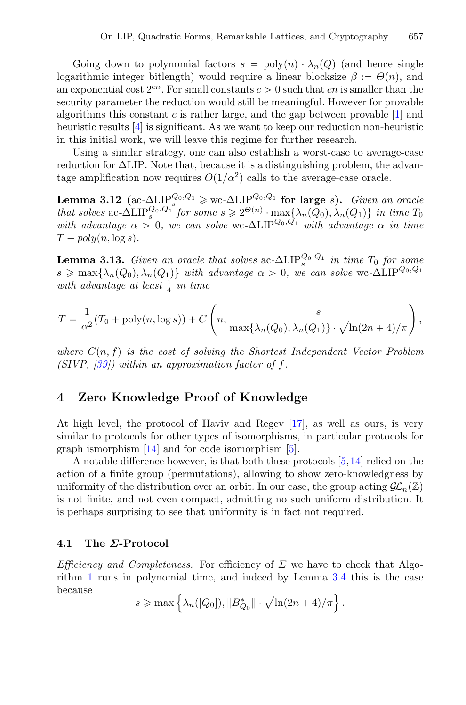Going down to polynomial factors  $s = \text{poly}(n) \cdot \lambda_n(Q)$  (and hence single logarithmic integer bitlength) would require a linear blocksize  $\beta := \Theta(n)$ , and an exponential cost  $2^{cn}$ . For small constants  $c > 0$  such that cn is smaller than the security parameter the reduction would still be meaningful. However for provable algorithms this constant c is rather large, and the gap between provable  $[1]$  $[1]$  and heuristic results [\[4](#page-28-12)] is significant. As we want to keep our reduction non-heuristic in this initial work, we will leave this regime for further research.

Using a similar strategy, one can also establish a worst-case to average-case reduction for ΔLIP. Note that, because it is a distinguishing problem, the advantage amplification now requires  $O(1/\alpha^2)$  calls to the average-case oracle.

**Lemma 3.12** (ac- $\Delta$ LIP<sup>Q<sub>0</sub>,Q<sub>1</sub></sub>)  $\geq$  wc- $\Delta$ LIP<sup>Q<sub>0</sub>,Q<sub>1</sub></sub> **for large** s). *Given an oracle*</sup></sup> *that solves* ac- $\Delta$ LIP<sup>Q<sub>0</sub>, $Q_1$ </sup> *for some*  $s \geq 2^{\Theta(n)} \cdot \max\{\lambda_n(Q_0), \lambda_n(Q_1)\}$  *in time*  $T_0$ *with advantage*  $\alpha > 0$ , we can solve wc- $\Delta$ LIP<sup>Q0, $\overline{Q_1}$ </sup> *with advantage*  $\alpha$  *in time*  $T + poly(n, \log s)$ .

**Lemma 3.13.** *Given an oracle that solves* ac- $\Delta LIP_s^{Q_0,Q_1}$  *in time*  $T_0$  *for some*  $s \geqslant \max\{\lambda_n(Q_0), \lambda_n(Q_1)\}\$  *with advantage*  $\alpha > 0$ , we can solve wc- $\Delta$ LIP<sup>Q<sub>0</sub>,Q<sub>1</sub></sub></sup> with advantage at least  $\frac{1}{4}$  in time

$$
T = \frac{1}{\alpha^2} (T_0 + \text{poly}(n, \log s)) + C \left( n, \frac{s}{\max\{\lambda_n(Q_0), \lambda_n(Q_1)\} \cdot \sqrt{\ln(2n + 4)/\pi}} \right),
$$

*where* C(n, f) *is the cost of solving the Shortest Independent Vector Problem (SIVP, [\[39](#page-30-1)]) within an approximation factor of* f*.*

# <span id="page-14-0"></span>**4 Zero Knowledge Proof of Knowledge**

At high level, the protocol of Haviv and Regev [\[17](#page-28-2)], as well as ours, is very similar to protocols for other types of isomorphisms, in particular protocols for graph ismorphism [\[14\]](#page-28-13) and for code isomorphism [\[5\]](#page-28-14).

A notable difference however, is that both these protocols [\[5](#page-28-14)[,14](#page-28-13)] relied on the action of a finite group (permutations), allowing to show zero-knowledgness by uniformity of the distribution over an orbit. In our case, the group acting  $\mathcal{GL}_n(\mathbb{Z})$ is not finite, and not even compact, admitting no such uniform distribution. It is perhaps surprising to see that uniformity is in fact not required.

#### **4.1 The** *Σ***-Protocol**

*Efficiency and Completeness.* For efficiency of  $\Sigma$  we have to check that Algorithm [1](#page-11-0) runs in polynomial time, and indeed by Lemma [3.4](#page-10-2) this is the case because

$$
s \geqslant \max\left\{\lambda_n([Q_0]), \|B^*_{Q_0}\| \cdot \sqrt{\ln(2n+4)/\pi}\right\}.
$$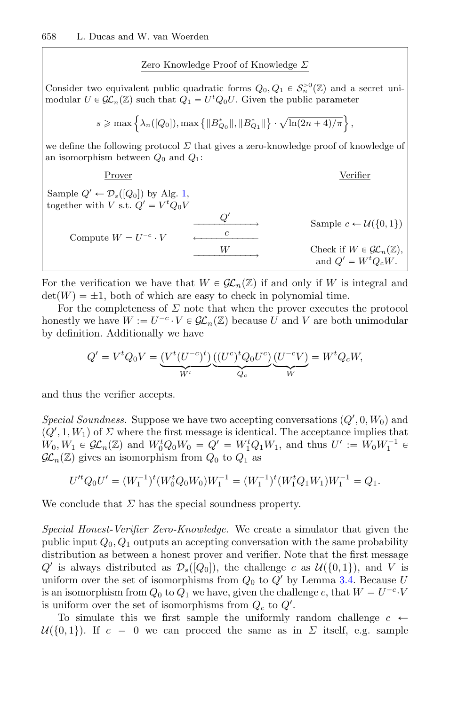Zero Knowledge Proof of Knowledge Σ

Consider two equivalent public quadratic forms  $Q_0, Q_1 \in S_n^{>0}(\mathbb{Z})$  and a secret unimodular  $U \in \mathcal{GL}_n(\mathbb{Z})$  such that  $Q_1 = U^t Q_0 U$ . Given the public parameter

 $s\geqslant \max\left\{\lambda_n([Q_0]),\max\left\{\|B^*_{Q_0}\|,\|B^*_{Q_1}\|\right\}\cdot\sqrt{\ln(2n+4)/\pi}\right\},$ 

we define the following protocol  $\Sigma$  that gives a zero-knowledge proof of knowledge of an isomorphism between  $Q_0$  and  $Q_1$ :

| Prover                                       | Verifier      |                                                                      |
|----------------------------------------------|---------------|----------------------------------------------------------------------|
| Sample $Q' \leftarrow D_s([Q_0])$ by Alg. 1, |               |                                                                      |
| together with $V$ s.t. $Q' = V^t Q_0 V$      | $Q'$          | Sample $c \leftarrow U(\{0, 1\})$                                    |
| Compute $W = U^{-c} \cdot V$                 | $\frac{c}{W}$ | Check if $W \in \mathcal{GL}_n(\mathbb{Z})$ , and $Q' = W^t Q_c W$ . |

For the verification we have that  $W \in \mathcal{GL}_n(\mathbb{Z})$  if and only if W is integral and  $\det(W) = \pm 1$ , both of which are easy to check in polynomial time.

For the completeness of  $\Sigma$  note that when the prover executes the protocol honestly we have  $W := U^{-c} \cdot V \in \mathcal{GL}_n(\mathbb{Z})$  because U and V are both unimodular by definition. Additionally we have

$$
Q' = V^t Q_0 V = \underbrace{(V^t (U^{-c})^t)}_{W^t} \underbrace{((U^c)^t Q_0 U^c)}_{Q_c} \underbrace{(U^{-c} V)}_{W} = W^t Q_c W,
$$

and thus the verifier accepts.

*Special Soundness.* Suppose we have two accepting conversations  $(Q', 0, W_0)$  and  $(Q', 1, W_1)$  of  $\Sigma$  where the first message is identical. The acceptance implies that  $W_0, W_1 \in \mathcal{GL}_n(\mathbb{Z})$  and  $W_0^t Q_0 W_0 = Q' = W_1^t Q_1 W_1$ , and thus  $U' := W_0 W_1^{-1} \in$  $\mathcal{GL}_n(\mathbb{Z})$  gives an isomorphism from  $Q_0$  to  $Q_1$  as

$$
U'^t Q_0 U' = (W_1^{-1})^t (W_0^t Q_0 W_0) W_1^{-1} = (W_1^{-1})^t (W_1^t Q_1 W_1) W_1^{-1} = Q_1.
$$

We conclude that  $\Sigma$  has the special soundness property.

*Special Honest-Verifier Zero-Knowledge.* We create a simulator that given the public input  $Q_0, Q_1$  outputs an accepting conversation with the same probability distribution as between a honest prover and verifier. Note that the first message Q' is always distributed as  $\mathcal{D}_s([Q_0])$ , the challenge c as  $\mathcal{U}(\{0,1\})$ , and V is uniform over the set of isomorphisms from  $Q_0$  to  $Q'$  by Lemma [3.4.](#page-10-2) Because U is an isomorphism from  $Q_0$  to  $Q_1$  we have, given the challenge c, that  $W = U^{-c} \cdot V$ is uniform over the set of isomorphisms from  $Q_c$  to  $Q'$ .

To simulate this we first sample the uniformly random challenge  $c \leftarrow$  $\mathcal{U}(\{0,1\})$ . If  $c = 0$  we can proceed the same as in  $\Sigma$  itself, e.g. sample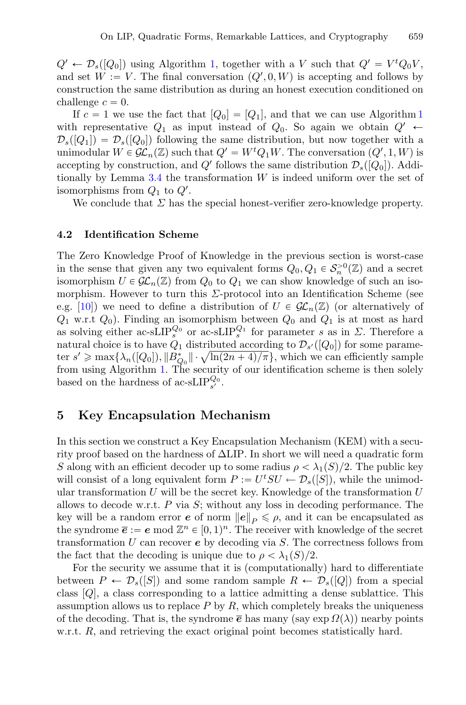$Q' \leftarrow \mathcal{D}_s([Q_0])$  using Algorithm [1,](#page-11-0) together with a V such that  $Q' = V^t Q_0 V$ , and set  $W := V$ . The final conversation  $(Q', 0, W)$  is accepting and follows by construction the same distribution as during an honest execution conditioned on challenge  $c = 0$ .

If  $c = 1$  $c = 1$  we use the fact that  $[Q_0] = [Q_1]$ , and that we can use Algorithm 1 with representative  $Q_1$  as input instead of  $Q_0$ . So again we obtain  $Q' \leftarrow$  $\mathcal{D}_s([Q_1]) = \mathcal{D}_s([Q_0])$  following the same distribution, but now together with a unimodular  $W \in \mathcal{GL}_n(\mathbb{Z})$  such that  $Q' = W^t Q_1 W$ . The conversation  $(Q', 1, W)$  is accepting by construction, and Q' follows the same distribution  $\mathcal{D}_s([Q_0])$ . Addi-tionally by Lemma [3.4](#page-10-2) the transformation  $W$  is indeed uniform over the set of isomorphisms from  $Q_1$  to  $Q'$ .

We conclude that  $\Sigma$  has the special honest-verifier zero-knowledge property.

#### **4.2 Identification Scheme**

The Zero Knowledge Proof of Knowledge in the previous section is worst-case in the sense that given any two equivalent forms  $Q_0, Q_1 \in S_n^{>0}(\mathbb{Z})$  and a secret isomorphism  $U \in \mathcal{GL}_n(\mathbb{Z})$  from  $Q_0$  to  $Q_1$  we can show knowledge of such an isomorphism. However to turn this  $\Sigma$ -protocol into an Identification Scheme (see e.g. [\[10\]](#page-28-15)) we need to define a distribution of  $U \in \mathcal{GL}_n(\mathbb{Z})$  (or alternatively of  $Q_1$  w.r.t  $Q_0$ ). Finding an isomorphism between  $Q_0$  and  $Q_1$  is at most as hard as solving either ac-sLIP<sup>Q<sub>0</sub></sup> or ac-sLIP<sup>Q<sub>1</sub></sup> for parameter s as in  $\Sigma$ . Therefore a natural choice is to have  $Q_1$  distributed according to  $\mathcal{D}_{s'}([Q_0])$  for some parameter  $s' \ge \max\{\lambda_n([Q_0]), \|B_{Q_0}^*\| \cdot \sqrt{\ln(2n+4)/\pi}\}\)$ , which we can efficiently sample from using Algorithm [1.](#page-11-0) The security of our identification scheme is then solely based on the hardness of ac-sLIP $_{s'}^{Q_0}$ .

# <span id="page-16-0"></span>**5 Key Encapsulation Mechanism**

In this section we construct a Key Encapsulation Mechanism (KEM) with a security proof based on the hardness of  $\Delta LIP$ . In short we will need a quadratic form S along with an efficient decoder up to some radius  $\rho < \lambda_1(S)/2$ . The public key will consist of a long equivalent form  $P := U^t SU \leftarrow \mathcal{D}_s([S])$ , while the unimodular transformation U will be the secret key. Knowledge of the transformation  $U$ allows to decode w.r.t.  $P$  via  $S$ ; without any loss in decoding performance. The key will be a random error *e* of norm  $||e||_p \leq \rho$ , and it can be encapsulated as the syndrome  $\bar{e} := e \mod \mathbb{Z}^n \in [0, 1)^n$ . The receiver with knowledge of the secret transformation U can recover *e* by decoding via S. The correctness follows from the fact that the decoding is unique due to  $\rho < \lambda_1(S)/2$ .

For the security we assume that it is (computationally) hard to differentiate between  $P \leftarrow \mathcal{D}_s([S])$  and some random sample  $R \leftarrow \mathcal{D}_s([Q])$  from a special class  $[Q]$ , a class corresponding to a lattice admitting a dense sublattice. This assumption allows us to replace  $P$  by  $R$ , which completely breaks the uniqueness of the decoding. That is, the syndrome  $\bar{e}$  has many (say exp  $\Omega(\lambda)$ ) nearby points w.r.t. R, and retrieving the exact original point becomes statistically hard.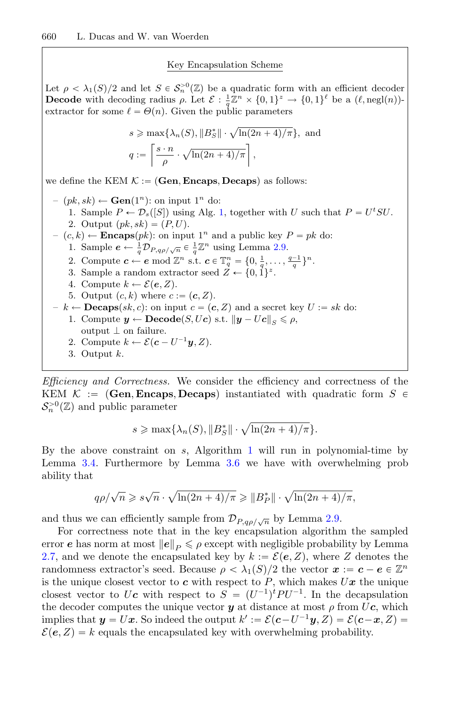#### Key Encapsulation Scheme

Let  $\rho < \lambda_1(S)/2$  and let  $S \in S_n^{>0}(\mathbb{Z})$  be a quadratic form with an efficient decoder **Decode** with decoding radius  $\rho$ . Let  $\mathcal{E} : \frac{1}{q} \mathbb{Z}^n \times \{0, 1\}^z \to \{0, 1\}^{\ell}$  be a  $(\ell, \text{negl}(n))$ extractor for some  $\ell = \Theta(n)$ . Given the public parameters

$$
s \ge \max\{\lambda_n(S), ||B_S^*|| \cdot \sqrt{\ln(2n+4)/\pi}\}, \text{ and}
$$
  

$$
q := \left\lceil \frac{s \cdot n}{\rho} \cdot \sqrt{\ln(2n+4)/\pi} \right\rceil,
$$

we define the KEM  $K := (\textbf{Gen}, \textbf{Encaps}, \textbf{Decaps})$  as follows:

–  $(pk, sk)$  ← **Gen**(1<sup>n</sup>): on input 1<sup>n</sup> do: 1. Sample  $P \leftarrow \mathcal{D}_s([S])$  using Alg. [1,](#page-11-0) together with U such that  $P = U^t S U$ . 2. Output  $(pk, sk) = (P, U)$ . –  $(c, k)$  ← **Encaps** $(pk)$ : on input 1<sup>n</sup> and a public key  $P = pk$  do: 1. Sample  $e \leftarrow \frac{1}{q} \mathcal{D}_{P,q\rho/\sqrt{n}} \in \frac{1}{q} \mathbb{Z}^n$  using Lemma [2.9.](#page-8-0) 2. Compute  $c \leftarrow e \mod \mathbb{Z}^n$  s.t.  $c \in \mathbb{T}_q^n = \{0, \frac{1}{q}, \dots, \frac{q-1}{q}\}^n$ . 3. Sample a random extractor seed  $Z \leftarrow \{0, 1\}^z$ . 4. Compute  $k \leftarrow \mathcal{E}(e, Z)$ . 5. Output  $(c, k)$  where  $c := (c, Z)$ .  $-k \leftarrow \mathbf{Decaps}(sk, c)$ : on input  $c = (c, Z)$  and a secret key  $U := sk$  do: 1. Compute  $y \leftarrow \textbf{Decode}(S, Uc) \text{ s.t. } ||y - Uc||_S \leq \rho,$ output  $\perp$  on failure. 2. Compute  $k \leftarrow \mathcal{E}(\boldsymbol{c} - U^{-1}\boldsymbol{y}, Z)$ .

3. Output k.

*Efficiency and Correctness.* We consider the efficiency and correctness of the KEM  $\mathcal{K}$  := (Gen, **Encaps**, **Decaps**) instantiated with quadratic form  $S \in$  $\mathcal{S}_n^{>0}(\mathbb{Z})$  and public parameter

$$
s \geqslant \max\{\lambda_n(S), \|B_S^*\| \cdot \sqrt{\ln(2n+4)/\pi}\}.
$$

By the above constraint on  $s$ , Algorithm [1](#page-11-0) will run in polynomial-time by Lemma [3.4.](#page-10-2) Furthermore by Lemma [3.6](#page-12-1) we have with overwhelming prob ability that

$$
q\rho/\sqrt{n} \geqslant s\sqrt{n} \cdot \sqrt{\ln(2n+4)/\pi} \geqslant ||B_P^*|| \cdot \sqrt{\ln(2n+4)/\pi},
$$

and thus we can efficiently sample from  $\mathcal{D}_{P,q\rho/\sqrt{n}}$  by Lemma [2.9.](#page-8-0)

For correctness note that in the key encapsulation algorithm the sampled error *e* has norm at most  $||e||_p \leq \rho$  except with negligible probability by Lemma [2.7,](#page-8-1) and we denote the encapsulated key by  $k := \mathcal{E}(e, Z)$ , where Z denotes the randomness extractor's seed. Because  $\rho < \lambda_1(S)/2$  the vector  $x := c - e \in \mathbb{Z}^n$ is the unique closest vector to  $c$  with respect to  $P$ , which makes  $U\mathbf{x}$  the unique closest vector to U<sub>c</sub> with respect to  $S = (U^{-1})^t P U^{-1}$ . In the decapsulation the decoder computes the unique vector  $y$  at distance at most  $\rho$  from  $U_c$ , which implies that  $y = Ux$ . So indeed the output  $k' := \mathcal{E}(c-U^{-1}y, Z) = \mathcal{E}(c-x, Z)$  $\mathcal{E}(\mathbf{e}, Z) = k$  equals the encapsulated key with overwhelming probability.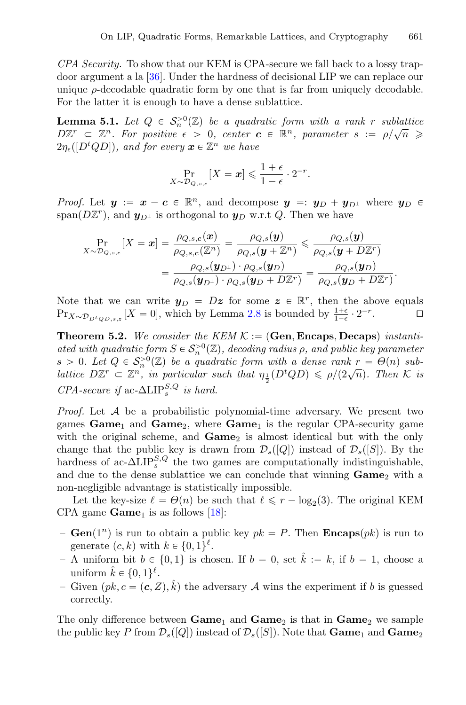*CPA Security.* To show that our KEM is CPA-secure we fall back to a lossy trapdoor argument a la [\[36\]](#page-29-11). Under the hardness of decisional LIP we can replace our unique  $\rho$ -decodable quadratic form by one that is far from uniquely decodable. For the latter it is enough to have a dense sublattice.

**Lemma 5.1.** Let  $Q \in S_n^{>0}(\mathbb{Z})$  be a quadratic form with a rank r sublattice  $D\mathbb{Z}^r \subset \mathbb{Z}^n$ . For positive  $\epsilon > 0$ , center  $c \in \mathbb{R}^n$ , parameter  $s := \rho/\sqrt{n} \geq$  $2\eta_{\epsilon}([D^t Q D]),$  and for every  $\boldsymbol{x} \in \mathbb{Z}^n$  we have

<span id="page-18-0"></span>
$$
\Pr_{X \sim \mathcal{D}_{Q,s,c}}[X = x] \leqslant \frac{1+\epsilon}{1-\epsilon} \cdot 2^{-r}.
$$

*Proof.* Let  $y := x - c \in \mathbb{R}^n$ , and decompose  $y = y_D + y_{D^{\perp}}$  where  $y_D \in$ span( $D\mathbb{Z}^r$ ), and  $\mathbf{y}_{D^{\perp}}$  is orthogonal to  $\mathbf{y}_D$  w.r.t Q. Then we have

$$
\Pr_{X \sim \mathcal{D}_{Q,s,c}}[X = \boldsymbol{x}] = \frac{\rho_{Q,s,c}(\boldsymbol{x})}{\rho_{Q,s,c}(\mathbb{Z}^n)} = \frac{\rho_{Q,s}(\boldsymbol{y})}{\rho_{Q,s}(\boldsymbol{y} + \mathbb{Z}^n)} \leqslant \frac{\rho_{Q,s}(\boldsymbol{y})}{\rho_{Q,s}(\boldsymbol{y} + D\mathbb{Z}^r)} = \frac{\rho_{Q,s}(\boldsymbol{y}_{D\perp}) \cdot \rho_{Q,s}(\boldsymbol{y}_{D})}{\rho_{Q,s}(\boldsymbol{y}_{D\perp}) \cdot \rho_{Q,s}(\boldsymbol{y}_{D} + D\mathbb{Z}^r)} = \frac{\rho_{Q,s}(\boldsymbol{y}_{D})}{\rho_{Q,s}(\boldsymbol{y}_{D} + D\mathbb{Z}^r)}.
$$

Note that we can write  $y_D = Dz$  for some  $z \in \mathbb{R}^r$ , then the above equals  $\Pr_{x \sim \mathcal{D}}$   $[X = 0]$ , which by Lemma 2.8 is bounded by  $\frac{1+\epsilon}{2} \cdot 2^{-r}$ . Pr<sub>X∼ $\mathcal{D}_{D^t Q D,s,z}$  [X = 0], which by Lemma [2.8](#page-8-2) is bounded by  $\frac{1+\epsilon}{1-\epsilon} \cdot 2^{-r}$ .  $\Box$ </sub>

<span id="page-18-1"></span>**Theorem 5.2.** We consider the KEM  $K := (\textbf{Gen}, \textbf{Encaps}, \textbf{Decaps})$  instanti*ated with quadratic form*  $S \in S_n^{>0}(\mathbb{Z})$ *, decoding radius*  $\rho$ *, and public key parameter*  $s > 0$ *. Let*  $Q \in S_n^{>0}(\mathbb{Z})$  *be a quadratic form with a dense rank*  $r = \Theta(n)$  *sublattice*  $D\mathbb{Z}^r \subset \mathbb{Z}^n$ , in particular such that  $\eta_{\frac{1}{2}}(D^t Q D) \leq \rho/(2\sqrt{n})$ . Then K is  $CPA\text{-}secure \text{ if } ac\text{-}\Delta\text{LIP}_s^{S,Q} \text{ is hard.}$ 

*Proof.* Let A be a probabilistic polynomial-time adversary. We present two games  $Game_1$  and  $Game_2$ , where  $Game_1$  is the regular CPA-security game with the original scheme, and **Game**<sub>2</sub> is almost identical but with the only change that the public key is drawn from  $\mathcal{D}_s([Q])$  instead of  $\mathcal{D}_s([S])$ . By the hardness of ac- $\Delta LIP_s^{S,Q}$  the two games are computationally indistinguishable, and due to the dense sublattice we can conclude that winning  $\text{Game}_2$  with a non-negligible advantage is statistically impossible.

Let the key-size  $\ell = \Theta(n)$  be such that  $\ell \leq r - \log_2(3)$ . The original KEM CPA game  $Game<sub>1</sub>$  is as follows [\[18](#page-28-16)]:

- $-$  **Gen**(1<sup>n</sup>) is run to obtain a public key  $pk = P$ . Then **Encaps**(*pk*) is run to generate  $(c, k)$  with  $k \in \{0, 1\}^{\ell}$ .
- A uniform bit  $b \in \{0, 1\}$  is chosen. If  $b = 0$ , set  $\hat{k} := k$ , if  $b = 1$ , choose a uniform  $\hat{k} \in \{0, 1\}^{\ell}$ .
- Given  $(pk, c = (c, Z), \hat{k})$  the adversary A wins the experiment if b is guessed correctly.

The only difference between **Game**<sup>1</sup> and **Game**<sup>2</sup> is that in **Game**<sup>2</sup> we sample the public key P from  $\mathcal{D}_s([Q])$  instead of  $\mathcal{D}_s([S])$ . Note that  $\mathbf{Game}_1$  and  $\mathbf{Game}_2$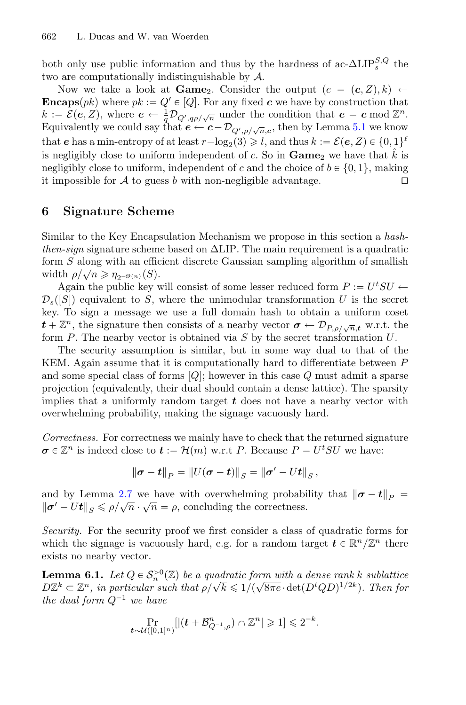both only use public information and thus by the hardness of  $\mathrm{ac}\text{-}\Delta\mathrm{LIP}_{s}^{S,Q}$  the two are computationally indistinguishable by A.

Now we take a look at **Game**<sub>2</sub>. Consider the output  $(c = (\mathbf{c}, Z), k) \leftarrow$ **Encaps**(*pk*) where  $pk := Q' \in [Q]$ . For any fixed *c* we have by construction that  $k := \mathcal{E}(e, Z)$ , where  $e \leftarrow \frac{1}{q} \mathcal{D}_{Q', q\rho/\sqrt{n}}$  under the condition that  $e = c \mod \mathbb{Z}^n$ . Equivalently we could say that  $e \leftarrow c - \mathcal{D}_{Q',\rho/\sqrt{n},c}$ , then by Lemma [5.1](#page-18-0) we know that *e* has a min-entropy of at least  $r - \log_2(3) \geq l$ , and thus  $k := \mathcal{E}(e, Z) \in \{0, 1\}^l$ is negligibly close to uniform independent of c. So in  $\textbf{Game}_2$  we have that  $\hat{k}$  is negligibly close to uniform, independent of c and the choice of  $b \in \{0, 1\}$ , making<br>it impossible for A to guess h with non-negligible advantage it impossible for  $A$  to guess  $b$  with non-negligible advantage.

# <span id="page-19-0"></span>**6 Signature Scheme**

Similar to the Key Encapsulation Mechanism we propose in this section a *hashthen-sign* signature scheme based on ΔLIP. The main requirement is a quadratic form S along with an efficient discrete Gaussian sampling algorithm of smallish width  $\rho/\sqrt{n} \geqslant \eta_{2^{-\Theta(n)}}(S)$ .

Again the public key will consist of some lesser reduced form  $P := U^t SU \leftarrow$  $\mathcal{D}_s([S])$  equivalent to S, where the unimodular transformation U is the secret key. To sign a message we use a full domain hash to obtain a uniform coset  $t + \mathbb{Z}^n$ , the signature then consists of a nearby vector  $\sigma \leftarrow \mathcal{D}_{P,\rho/\sqrt{n},t}$  w.r.t. the form  $P$ . The nearby vector is obtained via  $S$  by the secret transformation  $U$ .

The security assumption is similar, but in some way dual to that of the KEM. Again assume that it is computationally hard to differentiate between P and some special class of forms  $[Q]$ ; however in this case Q must admit a sparse projection (equivalently, their dual should contain a dense lattice). The sparsity implies that a uniformly random target *t* does not have a nearby vector with overwhelming probability, making the signage vacuously hard.

*Correctness.* For correctness we mainly have to check that the returned signature  $\sigma \in \mathbb{Z}^n$  is indeed close to  $t := \mathcal{H}(m)$  w.r.t *P*. Because  $P = U^t S U$  we have:

<span id="page-19-1"></span>
$$
\|\sigma - \bm{t}\|_{P} = \|U(\sigma - \bm{t})\|_{S} = \|\sigma' - Ut\|_{S},
$$

and by Lemma [2.7](#page-8-1) we have with overwhelming probability that  $\|\sigma - t\|_p =$  $\|\boldsymbol{\sigma}' - \boldsymbol{U}\boldsymbol{t}\|_{S} \leq \rho/\sqrt{n} \cdot \sqrt{n} = \rho$ , concluding the correctness.

*Security.* For the security proof we first consider a class of quadratic forms for which the signage is vacuously hard, e.g. for a random target  $t \in \mathbb{R}^n/\mathbb{Z}^n$  there exists no nearby vector.

**Lemma 6.1.** *Let*  $Q \in S_n^{>0}(\mathbb{Z})$  *be a quadratic form with a dense rank k sublattice*  $D\mathbb{Z}^k \subset \mathbb{Z}^n$ , in particular such that  $\rho/\sqrt{k} \leq 1/(\sqrt{8\pi e} \cdot \det(D^t Q D)^{1/2k})$ *. Then for the dual form*  $Q^{-1}$  *we have* 

$$
\Pr_{t \sim \mathcal{U}([0,1]^n)}[|(t + \mathcal{B}_{Q^{-1},\rho}^n) \cap \mathbb{Z}^n| \geqslant 1] \leqslant 2^{-k}.
$$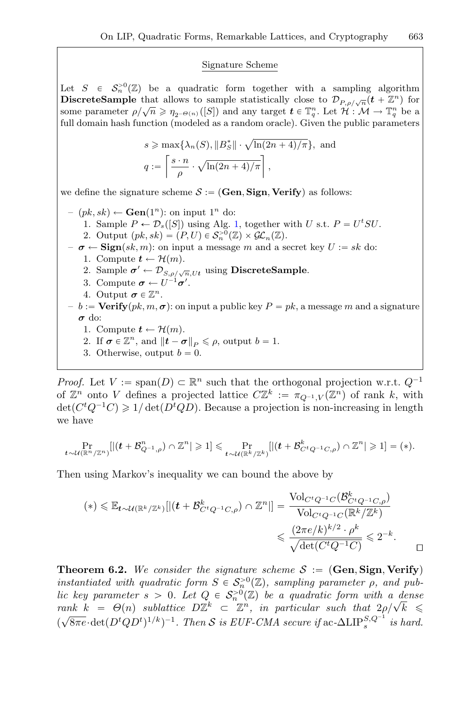#### Signature Scheme

Let  $S \in S_n^{\geq 0}(\mathbb{Z})$  be a quadratic form together with a sampling algorithm **DiscreteSample** that allows to sample statistically close to  $\mathcal{D}_{P,\rho/\sqrt{n}}(t + \mathbb{Z}^n)$  for some parameter  $\rho/\sqrt{n} \geq \eta_{2^{-\Theta(n)}}([S])$  and any target  $\boldsymbol{t} \in \mathbb{T}_q^n$ . Let  $\mathcal{H}: \mathcal{M} \to \mathbb{T}_q^n$  be a full domain hash function (modeled as a random oracle). Given the public parameters

$$
s \ge \max\{\lambda_n(S), ||B_S^*|| \cdot \sqrt{\ln(2n+4)/\pi}\}, \text{ and}
$$
  

$$
q := \left\lceil \frac{s \cdot n}{\rho} \cdot \sqrt{\ln(2n+4)/\pi} \right\rceil,
$$

we define the signature scheme  $S := (\mathbf{Gen}, \mathbf{Sign}, \mathbf{Verify})$  as follows:

- $(pk, sk)$  ← **Gen**(1<sup>n</sup>): on input 1<sup>n</sup> do:
	- 1. Sample  $P \leftarrow \mathcal{D}_s([S])$  using Alg. [1,](#page-11-0) together with U s.t.  $P = U^t SU$ .
	- 2. Output  $(pk, sk) = (P, U) \in S_n^{>0}(\mathbb{Z}) \times \mathcal{GL}_n(\mathbb{Z}).$
- $\sigma \leftarrow \text{Sign}(sk, m)$ : on input a message m and a secret key  $U := sk$  do:
	- 1. Compute  $t \leftarrow \mathcal{H}(m)$ .
	- 2. Sample  $\sigma' \leftarrow \mathcal{D}_{S, \rho/\sqrt{n}, Ut}$  using **DiscreteSample**.
	- 3. Compute  $\boldsymbol{\sigma} \leftarrow U^{-1} \boldsymbol{\sigma}'$ .
	- 4. Output  $\boldsymbol{\sigma} \in \mathbb{Z}^n$ .
- $b := \text{Verify}(pk, m, \sigma)$ : on input a public key  $P = pk$ , a message m and a signature *σ* do:
	- 1. Compute  $t \leftarrow \mathcal{H}(m)$ .
	- 2. If  $\boldsymbol{\sigma} \in \mathbb{Z}^n$ , and  $\|\boldsymbol{t} \boldsymbol{\sigma}\|_P \leqslant \rho$ , output  $b = 1$ .
	- 3. Otherwise, output  $b = 0$ .

*Proof.* Let  $V := \text{span}(D) \subset \mathbb{R}^n$  such that the orthogonal projection w.r.t.  $Q^{-1}$ of  $\mathbb{Z}^n$  onto V defines a projected lattice  $C\mathbb{Z}^k := \pi_{Q^{-1},V}(\mathbb{Z}^n)$  of rank k, with  $\det(C^t Q^{-1} C) \geq 1/\det(D^t Q D)$ . Because a projection is non-increasing in length we have

$$
\Pr_{\boldsymbol{t}\sim\mathcal{U}(\mathbb{R}^n/\mathbb{Z}^n)}[|( \boldsymbol{t}+\mathcal{B}^n_{Q^{-1},\rho})\cap \mathbb{Z}^n|\geqslant 1]\leqslant \Pr_{\boldsymbol{t}\sim\mathcal{U}(\mathbb{R}^k/\mathbb{Z}^k)}[|( \boldsymbol{t}+\mathcal{B}^k_{C^tQ^{-1}C,\rho})\cap \mathbb{Z}^n|\geqslant 1]=(*\text{.}
$$

Then using Markov's inequality we can bound the above by

$$
(*) \leq \mathbb{E}_{t \sim \mathcal{U}(\mathbb{R}^k/\mathbb{Z}^k)}[|(t + \mathcal{B}_{C^t Q^{-1} C, \rho}^k) \cap \mathbb{Z}^n]| = \frac{\text{Vol}_{C^t Q^{-1} C}(\mathcal{B}_{C^t Q^{-1} C, \rho}^k)}{\text{Vol}_{C^t Q^{-1} C}(\mathbb{R}^k/\mathbb{Z}^k)} \leq \frac{(2\pi e/k)^{k/2} \cdot \rho^k}{\sqrt{\det(C^t Q^{-1} C)}} \leq 2^{-k}.
$$

<span id="page-20-0"></span>**Theorem 6.2.** We consider the signature scheme  $S := (\text{Gen}, \text{Sign}, \text{Verify})$ *instantiated with quadratic form*  $S \in S_n^{>0}(\mathbb{Z})$ *, sampling parameter*  $\rho$ *, and public key parameter*  $s > 0$ *. Let*  $Q \in S_n^{\geq 0}(\mathbb{Z})$  *be a quadratic form with a dense rank*  $k = \Theta(n)$  *sublattice*  $D\mathbb{Z}^k \subset \mathbb{Z}^n$ , *in particular such that*  $2\rho/\sqrt{k} \leq$  $(\sqrt{8\pi e} \cdot \det(D^t Q D^t)^{1/k})^{-1}$ . Then *S* is EUF-CMA secure if ac- $\Delta LIP_s^{S,Q^{-1}}$  is hard.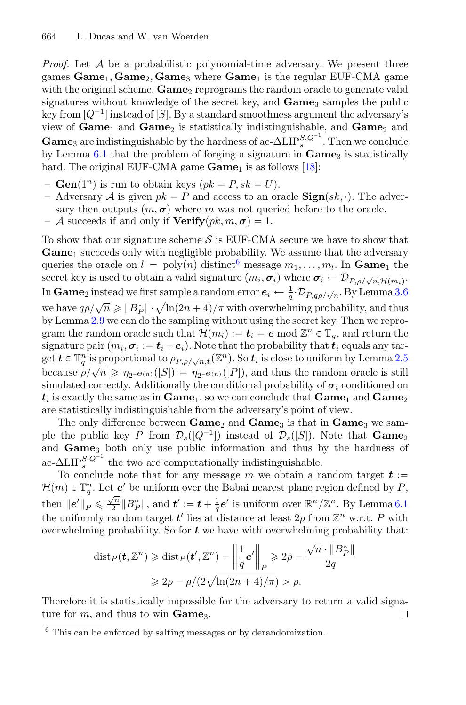*Proof.* Let A be a probabilistic polynomial-time adversary. We present three games **Game**1, **Game**2, **Game**<sup>3</sup> where **Game**<sup>1</sup> is the regular EUF-CMA game with the original scheme, **Game**<sub>2</sub> reprograms the random oracle to generate valid signatures without knowledge of the secret key, and **Game**<sup>3</sup> samples the public key from  $[Q^{-1}]$  instead of  $[S]$ . By a standard smoothness argument the adversary's view of **Game**<sup>1</sup> and **Game**<sup>2</sup> is statistically indistinguishable, and **Game**<sup>2</sup> and **Game**<sub>3</sub> are indistinguishable by the hardness of ac- $\Delta LIP_s^{S,Q^{-1}}$ . Then we conclude by Lemma [6.1](#page-19-1) that the problem of forging a signature in **Game**<sub>3</sub> is statistically hard. The original EUF-CMA game **Game**<sub>1</sub> is as follows [\[18](#page-28-16)]:

- $-$  **Gen** $(1^n)$  is run to obtain keys  $(pk = P, sk = U)$ .
- Adversary A is given  $pk = P$  and access to an oracle  $\textbf{Sign}(sk, \cdot)$ . The adversary then outputs  $(m, \sigma)$  where m was not queried before to the oracle.
- $-$  A succeeds if and only if  $$

To show that our signature scheme  $S$  is EUF-CMA secure we have to show that **Game**<sup>1</sup> succeeds only with negligible probability. We assume that the adversary queries the oracle on  $l = \text{poly}(n)$  distinct<sup>[6](#page-21-0)</sup> message  $m_1, \ldots, m_l$ . In **Game**<sub>1</sub> the secret key is used to obtain a valid signature  $(m_i, \sigma_i)$  where  $\sigma_i \leftarrow \mathcal{D}_{P,\rho/\sqrt{n},\mathcal{H}(m_i)}$ . In  $\bf{Game}_2$  instead we first sample a random error  $\bm{e}_i \leftarrow \frac{1}{q} \cdot \mathcal{D}_{P, q\rho/\sqrt{n}}.$  By Lemma [3.6](#page-12-1) we have  $q\rho/\sqrt{n} \geqslant ||B_P^*|| \cdot \sqrt{\ln((2n+4)/\pi)}$  with overwhelming probability, and thus by Lemma [2.9](#page-8-0) we can do the sampling without using the secret key. Then we reprogram the random oracle such that  $\mathcal{H}(m_i) := \mathbf{t}_i = \mathbf{e} \mod \mathbb{Z}^n \in \mathbb{T}_q$ , and return the signature pair  $(m_i, \sigma_i := t_i - e_i)$ . Note that the probability that  $\vec{t}_i$  equals any target  $t \in \mathbb{T}_q^n$  is proportional to  $\rho_{P,\rho/\sqrt{n},t}(\mathbb{Z}^n)$ . So  $t_i$  is close to uniform by Lemma [2.5](#page-7-0) because  $\rho/\sqrt{n} \geq \eta_{2^{-\Theta(n)}}([S]) = \eta_{2^{-\Theta(n)}}([P]),$  and thus the random oracle is still simulated correctly. Additionally the conditional probability of  $\sigma_i$  conditioned on  $t_i$  is exactly the same as in  $Game_1$ , so we can conclude that  $Game_1$  and  $Game_2$ are statistically indistinguishable from the adversary's point of view.

The only difference between **Game**<sup>2</sup> and **Game**<sup>3</sup> is that in **Game**<sup>3</sup> we sample the public key P from  $\mathcal{D}_s([Q^{-1}])$  instead of  $\mathcal{D}_s([S])$ . Note that **Game**<sub>2</sub> and **Game**<sup>3</sup> both only use public information and thus by the hardness of ac- $\Delta LIP_s^{S,Q^{-1}}$  the two are computationally indistinguishable.

To conclude note that for any message m we obtain a random target  $t :=$  $\mathcal{H}(m) \in \mathbb{T}_q^n$ . Let  $e'$  be uniform over the Babai nearest plane region defined by P, then  $||e'||_P \le \frac{\sqrt{n}}{2} ||B_P^*||$ , and  $t' := t + \frac{1}{q}e'$  is uniform over  $\mathbb{R}^n/\mathbb{Z}^n$ . By Lemma [6.1](#page-19-1) the uniformly random target  $t'$  lies at distance at least  $2\rho$  from  $\mathbb{Z}^n$  w.r.t. P with overwhelming probability. So for *t* we have with overwhelming probability that:

$$
\text{dist}_P(\boldsymbol{t}, \mathbb{Z}^n) \geq \text{dist}_P(\boldsymbol{t}', \mathbb{Z}^n) - \left\| \frac{1}{q} \boldsymbol{e}' \right\|_P \geq 2\rho - \frac{\sqrt{n} \cdot \|B_P^*\|}{2q}
$$

$$
\geq 2\rho - \rho/(2\sqrt{\ln(2n+4)/\pi}) > \rho.
$$

Therefore it is statistically impossible for the adversary to return a valid signature for m, and thus to win **Game**<sub>3</sub>.

<span id="page-21-0"></span><sup>6</sup> This can be enforced by salting messages or by derandomization.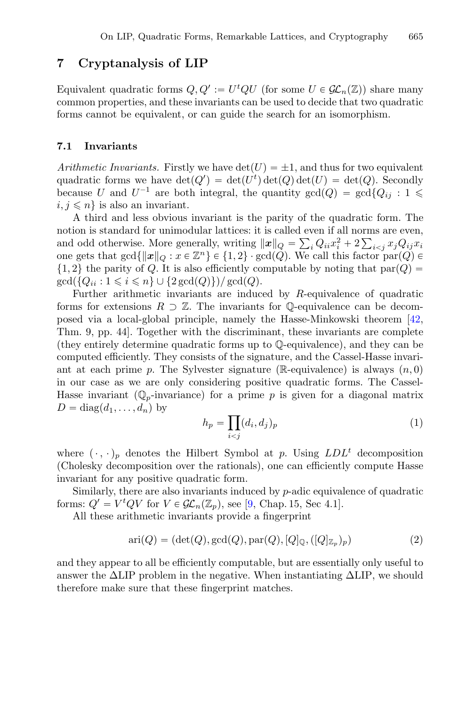# <span id="page-22-0"></span>**7 Cryptanalysis of LIP**

Equivalent quadratic forms  $Q, Q' := U^t QU$  (for some  $U \in \mathcal{GL}_n(\mathbb{Z})$ ) share many common properties, and these invariants can be used to decide that two quadratic forms cannot be equivalent, or can guide the search for an isomorphism.

#### **7.1 Invariants**

*Arithmetic Invariants.* Firstly we have  $\det(U) = \pm 1$ , and thus for two equivalent quadratic forms we have  $\det(Q') = \det(U^t) \det(Q) \det(U) = \det(Q)$ . Secondly because U and  $U^{-1}$  are both integral, the quantity  $gcd(Q) = gcd{Q_{ij} : 1 \leq$  $i, j \leq n$  is also an invariant.

A third and less obvious invariant is the parity of the quadratic form. The notion is standard for unimodular lattices: it is called even if all norms are even, and odd otherwise. More generally, writing  $\|\mathbf{x}\|_Q = \sum_i Q_{ii}x_i^2 + 2\sum_{i < j} x_j Q_{ij}x_i$ one gets that  $gcd{\{\Vert x\Vert_Q : x \in \mathbb{Z}^n\}} \in \{1, 2\} \cdot gcd(Q)$ . We call this factor par(Q)  $\in$  $\{1,2\}$  the parity of Q. It is also efficiently computable by noting that  $par(Q) =$  $gcd({Q_{ii} : 1 \leq i \leq n} \cup {2 gcd(Q)})/ gcd(Q).$ 

Further arithmetic invariants are induced by R-equivalence of quadratic forms for extensions  $R \supset \mathbb{Z}$ . The invariants for Q-equivalence can be decomposed via a local-global principle, namely the Hasse-Minkowski theorem [\[42,](#page-30-6) Thm. 9, pp. 44]. Together with the discriminant, these invariants are complete (they entirely determine quadratic forms up to Q-equivalence), and they can be computed efficiently. They consists of the signature, and the Cassel-Hasse invariant at each prime p. The Sylvester signature ( $\mathbb{R}$ -equivalence) is always  $(n, 0)$ in our case as we are only considering positive quadratic forms. The Cassel-Hasse invariant ( $\mathbb{Q}_p$ -invariance) for a prime p is given for a diagonal matrix  $D = diag(d_1, \ldots, d_n)$  by

$$
h_p = \prod_{i < j} (d_i, d_j)_p \tag{1}
$$

where  $(\cdot, \cdot)_p$  denotes the Hilbert Symbol at p. Using  $LDL^t$  decomposition (Cholesky decomposition over the rationals), one can efficiently compute Hasse invariant for any positive quadratic form.

Similarly, there are also invariants induced by  $p$ -adic equivalence of quadratic forms:  $Q' = V^t Q V$  for  $V \in \mathcal{GL}_n(\mathbb{Z}_p)$ , see [\[9,](#page-28-7) Chap. 15, Sec 4.1].

All these arithmetic invariants provide a fingerprint

$$
\operatorname{ari}(Q) = (\det(Q), \operatorname{gcd}(Q), \operatorname{par}(Q), [Q]_{\mathbb{Q}}, ([Q]_{\mathbb{Z}_p})_p)
$$
(2)

and they appear to all be efficiently computable, but are essentially only useful to answer the  $\Delta LIP$  problem in the negative. When instantiating  $\Delta LIP$ , we should therefore make sure that these fingerprint matches.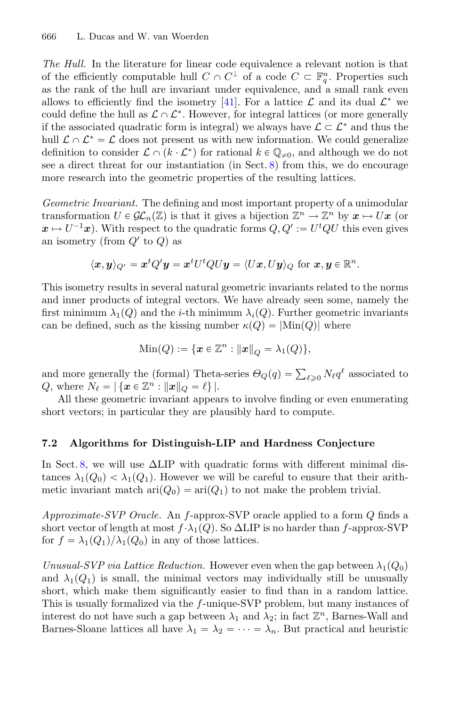*The Hull.* In the literature for linear code equivalence a relevant notion is that of the efficiently computable hull  $C \cap C^{\perp}$  of a code  $C \subset \mathbb{F}_q^n$ . Properties such as the rank of the hull are invariant under equivalence, and a small rank even allows to efficiently find the isometry [\[41](#page-30-7)]. For a lattice  $\mathcal L$  and its dual  $\mathcal L^*$  we could define the hull as  $\mathcal{L} \cap \mathcal{L}^*$ . However, for integral lattices (or more generally if the associated quadratic form is integral) we always have  $\mathcal{L} \subset \mathcal{L}^*$  and thus the hull  $\mathcal{L} \cap \mathcal{L}^* = \mathcal{L}$  does not present us with new information. We could generalize definition to consider  $\mathcal{L} \cap (k \cdot \mathcal{L}^*)$  for rational  $k \in \mathbb{Q}_{\neq 0}$ , and although we do not see a direct threat for our instantiation (in Sect. [8\)](#page-25-0) from this, we do encourage more research into the geometric properties of the resulting lattices.

*Geometric Invariant.* The defining and most important property of a unimodular transformation  $U \in \mathcal{GL}_n(\mathbb{Z})$  is that it gives a bijection  $\mathbb{Z}^n \to \mathbb{Z}^n$  by  $x \mapsto Ux$  (or  $\mathbf{x} \mapsto U^{-1}\mathbf{x}$ . With respect to the quadratic forms  $Q, Q' := U^tQU$  this even gives an isometry (from  $Q'$  to  $Q$ ) as

$$
\langle x,y\rangle_{Q'}=x^tQ'y=x^tU^tQUy=\langle Ux,Uy\rangle_{Q} \text{ for } x,y\in\mathbb{R}^n.
$$

This isometry results in several natural geometric invariants related to the norms and inner products of integral vectors. We have already seen some, namely the first minimum  $\lambda_1(Q)$  and the *i*-th minimum  $\lambda_i(Q)$ . Further geometric invariants can be defined, such as the kissing number  $\kappa(Q) = |\text{Min}(Q)|$  where

Min(Q) := {
$$
x \in \mathbb{Z}^n
$$
 :  $||x||_Q = \lambda_1(Q)$ },

and more generally the (formal) Theta-series  $\Theta_Q(q) = \sum_{\ell \geq 0} N_\ell q^\ell$  associated to Q, where  $N_{\ell} = |\{x \in \mathbb{Z}^n : ||x||_Q = \ell\}|.$ 

All these geometric invariant appears to involve finding or even enumerating short vectors; in particular they are plausibly hard to compute.

### <span id="page-23-0"></span>**7.2 Algorithms for Distinguish-LIP and Hardness Conjecture**

In Sect. [8,](#page-25-0) we will use  $\Delta LIP$  with quadratic forms with different minimal distances  $\lambda_1(Q_0) < \lambda_1(Q_1)$ . However we will be careful to ensure that their arithmetic invariant match  $\text{ari}(Q_0) = \text{ari}(Q_1)$  to not make the problem trivial.

*Approximate-SVP Oracle.* An f-approx-SVP oracle applied to a form Q finds a short vector of length at most  $f \cdot \lambda_1(Q)$ . So  $\Delta LIP$  is no harder than f-approx-SVP for  $f = \lambda_1(Q_1)/\lambda_1(Q_0)$  in any of those lattices.

*Unusual-SVP via Lattice Reduction.* However even when the gap between  $\lambda_1(Q_0)$ and  $\lambda_1(Q_1)$  is small, the minimal vectors may individually still be unusually short, which make them significantly easier to find than in a random lattice. This is usually formalized via the f-unique-SVP problem, but many instances of interest do not have such a gap between  $\lambda_1$  and  $\lambda_2$ ; in fact  $\mathbb{Z}^n$ , Barnes-Wall and Barnes-Sloane lattices all have  $\lambda_1 = \lambda_2 = \cdots = \lambda_n$ . But practical and heuristic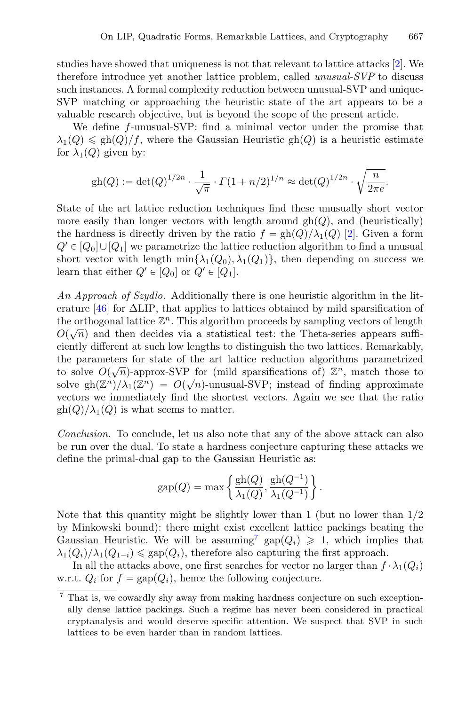studies have showed that uniqueness is not that relevant to lattice attacks [\[2\]](#page-28-17). We therefore introduce yet another lattice problem, called *unusual-SVP* to discuss such instances. A formal complexity reduction between unusual-SVP and unique-SVP matching or approaching the heuristic state of the art appears to be a valuable research objective, but is beyond the scope of the present article.

We define f-unusual-SVP: find a minimal vector under the promise that  $\lambda_1(Q) \le \frac{\text{gh}(Q)}{f}$ , where the Gaussian Heuristic gh(Q) is a heuristic estimate for  $\lambda_1(Q)$  given by:

$$
gh(Q) := det(Q)^{1/2n} \cdot \frac{1}{\sqrt{\pi}} \cdot \Gamma(1 + n/2)^{1/n} \approx det(Q)^{1/2n} \cdot \sqrt{\frac{n}{2\pi e}}.
$$

State of the art lattice reduction techniques find these unusually short vector more easily than longer vectors with length around  $gh(Q)$ , and (heuristically) the hardness is directly driven by the ratio  $f = gh(Q)/\lambda_1(Q)$  [\[2\]](#page-28-17). Given a form  $Q' \in [Q_0] \cup [Q_1]$  we parametrize the lattice reduction algorithm to find a unusual short vector with length  $\min{\{\lambda_1(Q_0), \lambda_1(Q_1)\}}$ , then depending on success we learn that either  $Q' \in [Q_0]$  or  $Q' \in [Q_1]$ .

*An Approach of Szydlo.* Additionally there is one heuristic algorithm in the literature  $[46]$  for  $\Delta$ LIP, that applies to lattices obtained by mild sparsification of the orthogonal lattice  $\mathbb{Z}^n$ . This algorithm proceeds by sampling vectors of length  $O(\sqrt{n})$  and then decides via a statistical test: the Theta-series appears sufficiently different at such low lengths to distinguish the two lattices. Remarkably, the parameters for state of the art lattice reduction algorithms parametrized to solve  $O(\sqrt{n})$ -approx-SVP for (mild sparsifications of)  $\mathbb{Z}^n$ , match those to solve gh $(\mathbb{Z}^n)/\lambda_1(\mathbb{Z}^n) = O(\sqrt{n})$ -unusual-SVP; instead of finding approximate vectors we immediately find the shortest vectors. Again we see that the ratio  $\text{gh}(Q)/\lambda_1(Q)$  is what seems to matter.

*Conclusion.* To conclude, let us also note that any of the above attack can also be run over the dual. To state a hardness conjecture capturing these attacks we define the primal-dual gap to the Gaussian Heuristic as:

$$
gap(Q) = \max \left\{ \frac{gh(Q)}{\lambda_1(Q)}, \frac{gh(Q^{-1})}{\lambda_1(Q^{-1})} \right\}.
$$

Note that this quantity might be slightly lower than 1 (but no lower than  $1/2$ ) by Minkowski bound): there might exist excellent lattice packings beating the Gaussian Heuristic. We will be assuming<sup>[7](#page-24-0)</sup> gap $(Q_i) \geq 1$ , which implies that  $\lambda_1(Q_i)/\lambda_1(Q_{1-i}) \leq \text{gap}(Q_i)$ , therefore also capturing the first approach.

In all the attacks above, one first searches for vector no larger than  $f \cdot \lambda_1(Q_i)$ w.r.t.  $Q_i$  for  $f = \text{gap}(Q_i)$ , hence the following conjecture.

<span id="page-24-1"></span><span id="page-24-0"></span> $\frac{7}{7}$  That is, we cowardly shy away from making hardness conjecture on such exceptionally dense lattice packings. Such a regime has never been considered in practical cryptanalysis and would deserve specific attention. We suspect that SVP in such lattices to be even harder than in random lattices.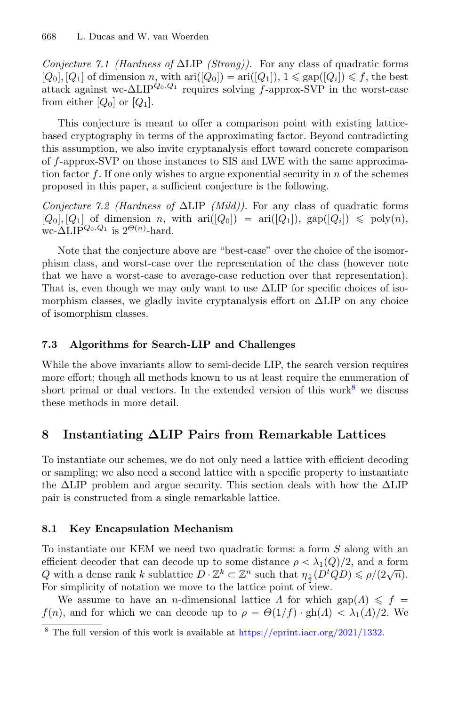*Conjecture 7.1 (Hardness of* ΔLIP *(Strong)).* For any class of quadratic forms  $[Q_0], [Q_1]$  of dimension n, with ari $([Q_0]) = \text{ari}([Q_1]), 1 \leq \text{gap}([Q_i]) \leq f$ , the best attack against wc- $\Delta LIP^{Q_0,Q_1}$  requires solving f-approx-SVP in the worst-case from either  $[Q_0]$  or  $[Q_1]$ .

This conjecture is meant to offer a comparison point with existing latticebased cryptography in terms of the approximating factor. Beyond contradicting this assumption, we also invite cryptanalysis effort toward concrete comparison of f-approx-SVP on those instances to SIS and LWE with the same approximation factor f. If one only wishes to argue exponential security in  $n$  of the schemes proposed in this paper, a sufficient conjecture is the following.

*Conjecture 7.2 (Hardness of* ΔLIP *(Mild)).* For any class of quadratic forms  $[Q_0], [Q_1]$  of dimension n, with  $ari([Q_0]) = \text{ari}([Q_1]),$  gap $([Q_i]) \leq \text{poly}(n),$ wc- $\Delta LIP^{Q_0,Q_1}$  is  $2^{\Theta(n)}$ -hard.

Note that the conjecture above are "best-case" over the choice of the isomorphism class, and worst-case over the representation of the class (however note that we have a worst-case to average-case reduction over that representation). That is, even though we may only want to use  $\Delta LIP$  for specific choices of isomorphism classes, we gladly invite cryptanalysis effort on  $\Delta LIP$  on any choice of isomorphism classes.

#### **7.3 Algorithms for Search-LIP and Challenges**

While the above invariants allow to semi-decide LIP, the search version requires more effort; though all methods known to us at least require the enumeration of short primal or dual vectors. In the extended version of this work<sup>[8](#page-25-1)</sup> we discuss these methods in more detail.

# <span id="page-25-0"></span>**8 Instantiating ΔLIP Pairs from Remarkable Lattices**

To instantiate our schemes, we do not only need a lattice with efficient decoding or sampling; we also need a second lattice with a specific property to instantiate the  $\Delta$ LIP problem and argue security. This section deals with how the  $\Delta$ LIP pair is constructed from a single remarkable lattice.

#### **8.1 Key Encapsulation Mechanism**

To instantiate our KEM we need two quadratic forms: a form S along with an efficient decoder that can decode up to some distance  $\rho < \lambda_1(Q)/2$ , and a form Q with a dense rank k sublattice  $D \cdot \mathbb{Z}^k \subset \mathbb{Z}^n$  such that  $\eta_{\frac{1}{2}}(D^t Q D) \leq \rho/(2\sqrt{n}).$ For simplicity of notation we move to the lattice point of view.

We assume to have an *n*-dimensional lattice  $\Lambda$  for which gap( $\Lambda$ )  $\leq$   $f =$  $f(n)$ , and for which we can decode up to  $\rho = \Theta(1/f) \cdot \text{gh}(A) < \lambda_1(A)/2$ . We

<span id="page-25-1"></span><sup>8</sup> The full version of this work is available at [https://eprint.iacr.org/2021/1332.](https://eprint.iacr.org/2021/1332)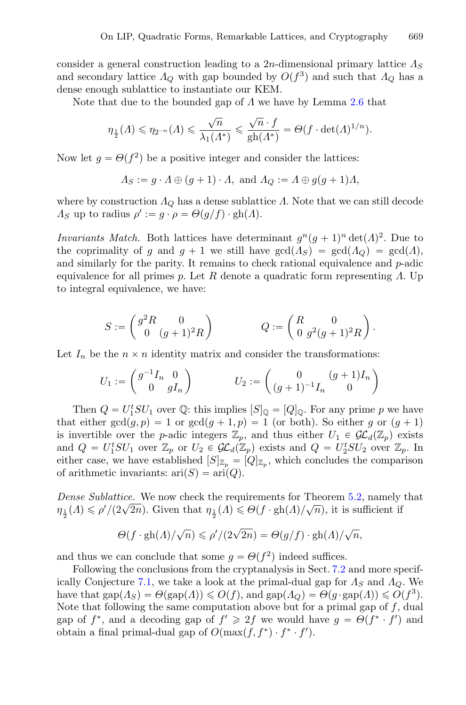consider a general construction leading to a 2n-dimensional primary lattice  $\Lambda_S$ and secondary lattice  $\Lambda_Q$  with gap bounded by  $O(f^3)$  and such that  $\Lambda_Q$  has a dense enough sublattice to instantiate our KEM.

Note that due to the bounded gap of  $\Lambda$  we have by Lemma [2.6](#page-8-3) that

$$
\eta_{\frac{1}{2}}(A) \leqslant \eta_{2^{-n}}(A) \leqslant \frac{\sqrt{n}}{\lambda_1(A^*)} \leqslant \frac{\sqrt{n}\cdot f}{\mathrm{gh}(A^*)} = \varTheta(f \cdot \det(A)^{1/n}).
$$

Now let  $g = \Theta(f^2)$  be a positive integer and consider the lattices:

$$
\Lambda_S := g \cdot \Lambda \oplus (g+1) \cdot \Lambda, \text{ and } \Lambda_Q := \Lambda \oplus g(g+1)\Lambda,
$$

where by construction  $\Lambda_Q$  has a dense sublattice  $\Lambda$ . Note that we can still decode  $\Lambda_S$  up to radius  $\rho' := g \cdot \rho = \Theta(g/f) \cdot \mathrm{gh}(\Lambda)$ .

*Invariants Match.* Both lattices have determinant  $q^n(q+1)^n \det(\Lambda)^2$ . Due to the coprimality of g and  $g + 1$  we still have  $gcd(\Lambda_S) = gcd(\Lambda_O) = gcd(\Lambda)$ , and similarly for the parity. It remains to check rational equivalence and  $p$ -adic equivalence for all primes p. Let R denote a quadratic form representing  $\Lambda$ . Up to integral equivalence, we have:

$$
S:=\begin{pmatrix} g^2 R & 0 \\ 0 & (g+1)^2 R \end{pmatrix} \hspace{1.5cm} Q:=\begin{pmatrix} R & 0 \\ 0 & g^2 (g+1)^2 R \end{pmatrix}.
$$

Let  $I_n$  be the  $n \times n$  identity matrix and consider the transformations:

$$
U_1 := \begin{pmatrix} g^{-1}I_n & 0 \\ 0 & gI_n \end{pmatrix} \qquad \qquad U_2 := \begin{pmatrix} 0 & (g+1)I_n \\ (g+1)^{-1}I_n & 0 \end{pmatrix}
$$

Then  $Q = U_1^t SU_1$  over  $\mathbb{Q}$ : this implies  $[S]_{\mathbb{Q}} = [Q]_{\mathbb{Q}}$ . For any prime p we have that either  $gcd(g, p) = 1$  or  $gcd(g + 1, p) = 1$  (or both). So either g or  $(g + 1)$ is invertible over the *p*-adic integers  $\mathbb{Z}_p$ , and thus either  $U_1 \in \mathcal{GL}_d(\mathbb{Z}_p)$  exists and  $Q = U_1^t SU_1$  over  $\mathbb{Z}_p$  or  $U_2 \in \mathcal{GL}_d(\mathbb{Z}_p)$  exists and  $Q = U_2^t SU_2$  over  $\mathbb{Z}_p$ . In either case, we have established  $[S]_{\mathbb{Z}_p} = [Q]_{\mathbb{Z}_p}$ , which concludes the comparison of arithmetic invariants:  $ari(S) = ari(Q)$ .

*Dense Sublattice.* We now check the requirements for Theorem [5.2,](#page-18-1) namely that  $\eta_{\frac{1}{2}}(\Lambda) \leq \rho'/(2\sqrt{2n})$ . Given that  $\eta_{\frac{1}{2}}(\Lambda) \leq \Theta(f \cdot \mathrm{gh}(\Lambda)/\sqrt{n})$ , it is sufficient if

$$
\Theta(f \cdot \mathrm{gh}(A)/\sqrt{n}) \leqslant \rho'/(2\sqrt{2n}) = \Theta(g/f) \cdot \mathrm{gh}(A)/\sqrt{n},
$$

and thus we can conclude that some  $g = \Theta(f^2)$  indeed suffices.

Following the conclusions from the cryptanalysis in Sect. [7.2](#page-23-0) and more specif-ically Conjecture [7.1,](#page-24-1) we take a look at the primal-dual gap for  $\Lambda_S$  and  $\Lambda_Q$ . We have that  $\text{gap}(A_S) = \Theta(\text{gap}(A)) \leq \text{O}(f)$ , and  $\text{gap}(A_Q) = \Theta(g \cdot \text{gap}(A)) \leq \text{O}(f^3)$ . Note that following the same computation above but for a primal gap of  $f$ , dual gap of  $f^*$ , and a decoding gap of  $f' \geq 2f$  we would have  $g = \Theta(f^* \cdot f')$  and obtain a final primal-dual gap of  $O(\max(f, f^*) \cdot f^* \cdot f')$ .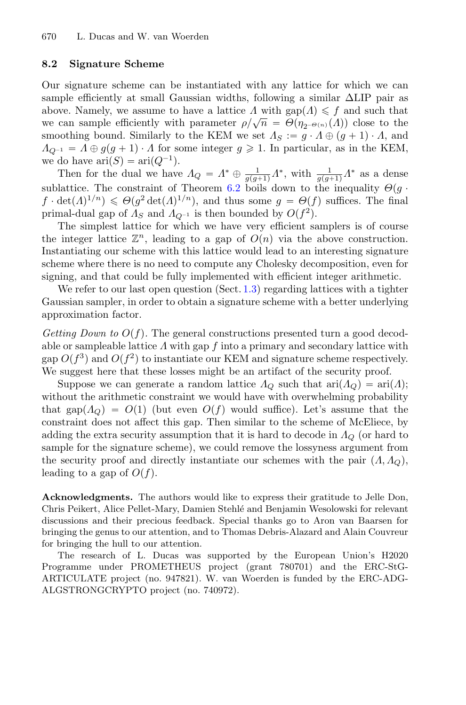#### **8.2 Signature Scheme**

Our signature scheme can be instantiated with any lattice for which we can sample efficiently at small Gaussian widths, following a similar ΔLIP pair as above. Namely, we assume to have a lattice  $\Lambda$  with gap $(\Lambda) \leq \Lambda$  and such that we can sample efficiently with parameter  $\rho/\sqrt{n} = \Theta(\eta_{2^{-\Theta(n)}}(A))$  close to the smoothing bound. Similarly to the KEM we set  $\Lambda_S := q \cdot \Lambda \oplus (q + 1) \cdot \Lambda$ , and  $A_{Q^{-1}} = A \oplus g(g+1) \cdot A$  for some integer  $g \geq 1$ . In particular, as in the KEM, we do have  $\text{ari}(S) = \text{ari}(Q^{-1}).$ 

Then for the dual we have  $\Lambda_Q = \Lambda^* \oplus \frac{1}{g(g+1)}\Lambda^*$ , with  $\frac{1}{g(g+1)}\Lambda^*$  as a dense sublattice. The constraint of Theorem [6.2](#page-20-0) boils down to the inequality  $\Theta(q \cdot$  $f \cdot det(\Lambda)^{1/n} \leq \Theta(g^2 det(\Lambda)^{1/n})$ , and thus some  $g = \Theta(f)$  suffices. The final primal-dual gap of  $\Lambda_S$  and  $\Lambda_{Q^{-1}}$  is then bounded by  $O(f^2)$ .

The simplest lattice for which we have very efficient samplers is of course the integer lattice  $\mathbb{Z}^n$ , leading to a gap of  $O(n)$  via the above construction. Instantiating our scheme with this lattice would lead to an interesting signature scheme where there is no need to compute any Cholesky decomposition, even for signing, and that could be fully implemented with efficient integer arithmetic.

We refer to our last open question (Sect. [1.3\)](#page-3-0) regarding lattices with a tighter Gaussian sampler, in order to obtain a signature scheme with a better underlying approximation factor.

*Getting Down to*  $O(f)$ . The general constructions presented turn a good decodable or sampleable lattice  $\Lambda$  with gap  $f$  into a primary and secondary lattice with gap  $O(f^3)$  and  $O(f^2)$  to instantiate our KEM and signature scheme respectively. We suggest here that these losses might be an artifact of the security proof.

Suppose we can generate a random lattice  $\Lambda_{\mathcal{O}}$  such that  $\text{ari}(\Lambda_{\mathcal{O}}) = \text{ari}(\Lambda);$ without the arithmetic constraint we would have with overwhelming probability that gap( $\Lambda_Q$ ) =  $O(1)$  (but even  $O(f)$ ) would suffice). Let's assume that the constraint does not affect this gap. Then similar to the scheme of McEliece, by adding the extra security assumption that it is hard to decode in  $\Lambda_Q$  (or hard to sample for the signature scheme), we could remove the lossyness argument from the security proof and directly instantiate our schemes with the pair  $(A, A<sub>O</sub>)$ , leading to a gap of  $O(f)$ .

**Acknowledgments.** The authors would like to express their gratitude to Jelle Don, Chris Peikert, Alice Pellet-Mary, Damien Stehl´e and Benjamin Wesolowski for relevant discussions and their precious feedback. Special thanks go to Aron van Baarsen for bringing the genus to our attention, and to Thomas Debris-Alazard and Alain Couvreur for bringing the hull to our attention.

The research of L. Ducas was supported by the European Union's H2020 Programme under PROMETHEUS project (grant 780701) and the ERC-StG-ARTICULATE project (no. 947821). W. van Woerden is funded by the ERC-ADG-ALGSTRONGCRYPTO project (no. 740972).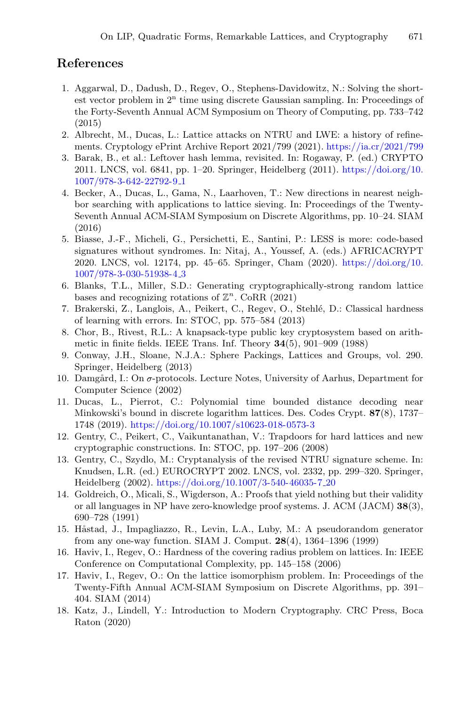# **References**

- <span id="page-28-11"></span>1. Aggarwal, D., Dadush, D., Regev, O., Stephens-Davidowitz, N.: Solving the shortest vector problem in  $2<sup>n</sup>$  time using discrete Gaussian sampling. In: Proceedings of the Forty-Seventh Annual ACM Symposium on Theory of Computing, pp. 733–742 (2015)
- <span id="page-28-17"></span>2. Albrecht, M., Ducas, L.: Lattice attacks on NTRU and LWE: a history of refinements. Cryptology ePrint Archive Report 2021/799 (2021). <https://ia.cr/2021/799>
- <span id="page-28-9"></span>3. Barak, B., et al.: Leftover hash lemma, revisited. In: Rogaway, P. (ed.) CRYPTO 2011. LNCS, vol. 6841, pp. 1–20. Springer, Heidelberg (2011). [https://doi.org/10.](https://doi.org/10.1007/978-3-642-22792-9_1) [1007/978-3-642-22792-9](https://doi.org/10.1007/978-3-642-22792-9_1) 1
- <span id="page-28-12"></span>4. Becker, A., Ducas, L., Gama, N., Laarhoven, T.: New directions in nearest neighbor searching with applications to lattice sieving. In: Proceedings of the Twenty-Seventh Annual ACM-SIAM Symposium on Discrete Algorithms, pp. 10–24. SIAM (2016)
- <span id="page-28-14"></span>5. Biasse, J.-F., Micheli, G., Persichetti, E., Santini, P.: LESS is more: code-based signatures without syndromes. In: Nitaj, A., Youssef, A. (eds.) AFRICACRYPT 2020. LNCS, vol. 12174, pp. 45–65. Springer, Cham (2020). [https://doi.org/10.](https://doi.org/10.1007/978-3-030-51938-4_3) [1007/978-3-030-51938-4](https://doi.org/10.1007/978-3-030-51938-4_3) 3
- <span id="page-28-3"></span>6. Blanks, T.L., Miller, S.D.: Generating cryptographically-strong random lattice bases and recognizing rotations of  $\mathbb{Z}^n$ . CoRR (2021)
- <span id="page-28-8"></span>7. Brakerski, Z., Langlois, A., Peikert, C., Regev, O., Stehl´e, D.: Classical hardness of learning with errors. In: STOC, pp. 575–584 (2013)
- <span id="page-28-0"></span>8. Chor, B., Rivest, R.L.: A knapsack-type public key cryptosystem based on arithmetic in finite fields. IEEE Trans. Inf. Theory **34**(5), 901–909 (1988)
- <span id="page-28-7"></span>9. Conway, J.H., Sloane, N.J.A.: Sphere Packings, Lattices and Groups, vol. 290. Springer, Heidelberg (2013)
- <span id="page-28-15"></span>10. Damgård, I.: On  $\sigma$ -protocols. Lecture Notes, University of Aarhus, Department for Computer Science (2002)
- <span id="page-28-1"></span>11. Ducas, L., Pierrot, C.: Polynomial time bounded distance decoding near Minkowski's bound in discrete logarithm lattices. Des. Codes Crypt. **87**(8), 1737– 1748 (2019). <https://doi.org/10.1007/s10623-018-0573-3>
- <span id="page-28-4"></span>12. Gentry, C., Peikert, C., Vaikuntanathan, V.: Trapdoors for hard lattices and new cryptographic constructions. In: STOC, pp. 197–206 (2008)
- <span id="page-28-6"></span>13. Gentry, C., Szydlo, M.: Cryptanalysis of the revised NTRU signature scheme. In: Knudsen, L.R. (ed.) EUROCRYPT 2002. LNCS, vol. 2332, pp. 299–320. Springer, Heidelberg (2002). [https://doi.org/10.1007/3-540-46035-7](https://doi.org/10.1007/3-540-46035-7_20) 20
- <span id="page-28-13"></span>14. Goldreich, O., Micali, S., Wigderson, A.: Proofs that yield nothing but their validity or all languages in NP have zero-knowledge proof systems. J. ACM (JACM) **38**(3), 690–728 (1991)
- <span id="page-28-10"></span>15. Håstad, J., Impagliazzo, R., Levin, L.A., Luby, M.: A pseudorandom generator from any one-way function. SIAM J. Comput. **28**(4), 1364–1396 (1999)
- <span id="page-28-5"></span>16. Haviv, I., Regev, O.: Hardness of the covering radius problem on lattices. In: IEEE Conference on Computational Complexity, pp. 145–158 (2006)
- <span id="page-28-2"></span>17. Haviv, I., Regev, O.: On the lattice isomorphism problem. In: Proceedings of the Twenty-Fifth Annual ACM-SIAM Symposium on Discrete Algorithms, pp. 391– 404. SIAM (2014)
- <span id="page-28-16"></span>18. Katz, J., Lindell, Y.: Introduction to Modern Cryptography. CRC Press, Boca Raton (2020)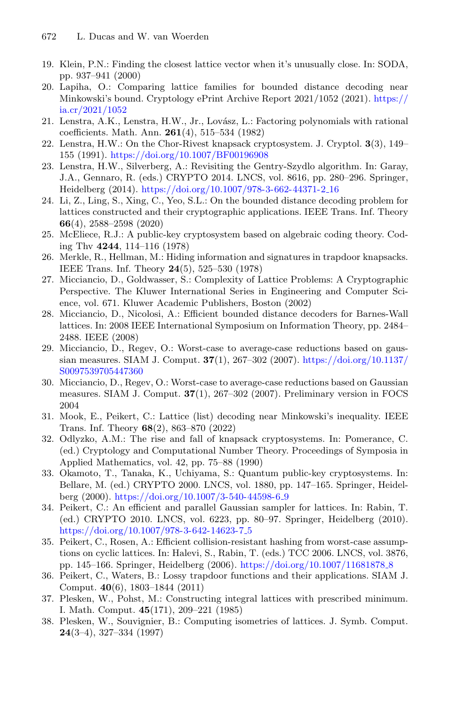- <span id="page-29-18"></span>19. Klein, P.N.: Finding the closest lattice vector when it's unusually close. In: SODA, pp. 937–941 (2000)
- <span id="page-29-6"></span>20. Lapiha, O.: Comparing lattice families for bounded distance decoding near Minkowski's bound. Cryptology ePrint Archive Report 2021/1052 (2021). [https://](https://ia.cr/2021/1052) [ia.cr/2021/1052](https://ia.cr/2021/1052)
- <span id="page-29-7"></span>21. Lenstra, A.K., Lenstra, H.W., Jr., Lov´asz, L.: Factoring polynomials with rational coefficients. Math. Ann. **261**(4), 515–534 (1982)
- <span id="page-29-0"></span>22. Lenstra, H.W.: On the Chor-Rivest knapsack cryptosystem. J. Cryptol. **3**(3), 149– 155 (1991). <https://doi.org/10.1007/BF00196908>
- <span id="page-29-14"></span>23. Lenstra, H.W., Silverberg, A.: Revisiting the Gentry-Szydlo algorithm. In: Garay, J.A., Gennaro, R. (eds.) CRYPTO 2014. LNCS, vol. 8616, pp. 280–296. Springer, Heidelberg (2014). [https://doi.org/10.1007/978-3-662-44371-2](https://doi.org/10.1007/978-3-662-44371-2_16) 16
- <span id="page-29-1"></span>24. Li, Z., Ling, S., Xing, C., Yeo, S.L.: On the bounded distance decoding problem for lattices constructed and their cryptographic applications. IEEE Trans. Inf. Theory **66**(4), 2588–2598 (2020)
- <span id="page-29-3"></span>25. McEliece, R.J.: A public-key cryptosystem based on algebraic coding theory. Coding Thv **4244**, 114–116 (1978)
- <span id="page-29-4"></span>26. Merkle, R., Hellman, M.: Hiding information and signatures in trapdoor knapsacks. IEEE Trans. Inf. Theory **24**(5), 525–530 (1978)
- <span id="page-29-19"></span>27. Micciancio, D., Goldwasser, S.: Complexity of Lattice Problems: A Cryptographic Perspective. The Kluwer International Series in Engineering and Computer Science, vol. 671. Kluwer Academic Publishers, Boston (2002)
- <span id="page-29-12"></span>28. Micciancio, D., Nicolosi, A.: Efficient bounded distance decoders for Barnes-Wall lattices. In: 2008 IEEE International Symposium on Information Theory, pp. 2484– 2488. IEEE (2008)
- <span id="page-29-15"></span>29. Micciancio, D., Regev, O.: Worst-case to average-case reductions based on gaussian measures. SIAM J. Comput. **37**(1), 267–302 (2007). [https://doi.org/10.1137/](https://doi.org/10.1137/S0097539705447360) [S0097539705447360](https://doi.org/10.1137/S0097539705447360)
- <span id="page-29-16"></span>30. Micciancio, D., Regev, O.: Worst-case to average-case reductions based on Gaussian measures. SIAM J. Comput. **37**(1), 267–302 (2007). Preliminary version in FOCS 2004
- <span id="page-29-13"></span>31. Mook, E., Peikert, C.: Lattice (list) decoding near Minkowski's inequality. IEEE Trans. Inf. Theory **68**(2), 863–870 (2022)
- <span id="page-29-5"></span>32. Odlyzko, A.M.: The rise and fall of knapsack cryptosystems. In: Pomerance, C. (ed.) Cryptology and Computational Number Theory. Proceedings of Symposia in Applied Mathematics, vol. 42, pp. 75–88 (1990)
- <span id="page-29-2"></span>33. Okamoto, T., Tanaka, K., Uchiyama, S.: Quantum public-key cryptosystems. In: Bellare, M. (ed.) CRYPTO 2000. LNCS, vol. 1880, pp. 147–165. Springer, Heidelberg (2000). [https://doi.org/10.1007/3-540-44598-6](https://doi.org/10.1007/3-540-44598-6_9) 9
- <span id="page-29-10"></span>34. Peikert, C.: An efficient and parallel Gaussian sampler for lattices. In: Rabin, T. (ed.) CRYPTO 2010. LNCS, vol. 6223, pp. 80–97. Springer, Heidelberg (2010). [https://doi.org/10.1007/978-3-642-14623-7](https://doi.org/10.1007/978-3-642-14623-7_5)<sub>-5</sub>
- <span id="page-29-17"></span>35. Peikert, C., Rosen, A.: Efficient collision-resistant hashing from worst-case assumptions on cyclic lattices. In: Halevi, S., Rabin, T. (eds.) TCC 2006. LNCS, vol. 3876, pp. 145–166. Springer, Heidelberg (2006). [https://doi.org/10.1007/11681878](https://doi.org/10.1007/11681878_8) 8
- <span id="page-29-11"></span>36. Peikert, C., Waters, B.: Lossy trapdoor functions and their applications. SIAM J. Comput. **40**(6), 1803–1844 (2011)
- <span id="page-29-8"></span>37. Plesken, W., Pohst, M.: Constructing integral lattices with prescribed minimum. I. Math. Comput. **45**(171), 209–221 (1985)
- <span id="page-29-9"></span>38. Plesken, W., Souvignier, B.: Computing isometries of lattices. J. Symb. Comput. **24**(3–4), 327–334 (1997)